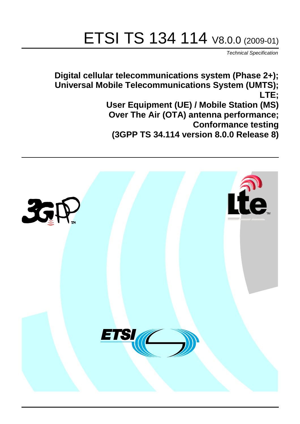# ETSI TS 134 114 V8.0.0 (2009-01)

*Technical Specification*

**Digital cellular telecommunications system (Phase 2+); Universal Mobile Telecommunications System (UMTS); LTE; User Equipment (UE) / Mobile Station (MS) Over The Air (OTA) antenna performance; Conformance testing (3GPP TS 34.114 version 8.0.0 Release 8)**

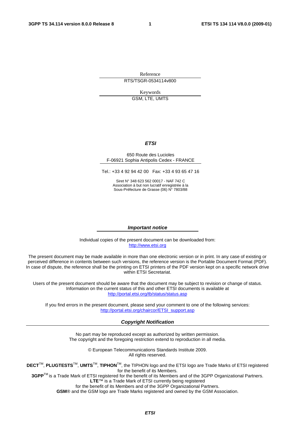Reference RTS/TSGR-0534114v800

Keywords GSM, LTE, UMTS

#### *ETSI*

#### 650 Route des Lucioles F-06921 Sophia Antipolis Cedex - FRANCE

Tel.: +33 4 92 94 42 00 Fax: +33 4 93 65 47 16

Siret N° 348 623 562 00017 - NAF 742 C Association à but non lucratif enregistrée à la Sous-Préfecture de Grasse (06) N° 7803/88

#### *Important notice*

Individual copies of the present document can be downloaded from: [http://www.etsi.org](http://www.etsi.org/)

The present document may be made available in more than one electronic version or in print. In any case of existing or perceived difference in contents between such versions, the reference version is the Portable Document Format (PDF). In case of dispute, the reference shall be the printing on ETSI printers of the PDF version kept on a specific network drive within ETSI Secretariat.

Users of the present document should be aware that the document may be subject to revision or change of status. Information on the current status of this and other ETSI documents is available at <http://portal.etsi.org/tb/status/status.asp>

If you find errors in the present document, please send your comment to one of the following services: [http://portal.etsi.org/chaircor/ETSI\\_support.asp](http://portal.etsi.org/chaircor/ETSI_support.asp)

#### *Copyright Notification*

No part may be reproduced except as authorized by written permission. The copyright and the foregoing restriction extend to reproduction in all media.

> © European Telecommunications Standards Institute 2009. All rights reserved.

**DECT**TM, **PLUGTESTS**TM, **UMTS**TM, **TIPHON**TM, the TIPHON logo and the ETSI logo are Trade Marks of ETSI registered for the benefit of its Members.

**3GPP**TM is a Trade Mark of ETSI registered for the benefit of its Members and of the 3GPP Organizational Partners. **LTE**™ is a Trade Mark of ETSI currently being registered

for the benefit of its Members and of the 3GPP Organizational Partners.

**GSM**® and the GSM logo are Trade Marks registered and owned by the GSM Association.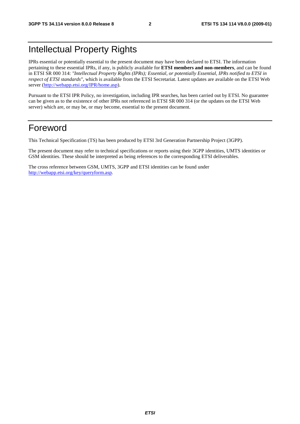## Intellectual Property Rights

IPRs essential or potentially essential to the present document may have been declared to ETSI. The information pertaining to these essential IPRs, if any, is publicly available for **ETSI members and non-members**, and can be found in ETSI SR 000 314: *"Intellectual Property Rights (IPRs); Essential, or potentially Essential, IPRs notified to ETSI in respect of ETSI standards"*, which is available from the ETSI Secretariat. Latest updates are available on the ETSI Web server (<http://webapp.etsi.org/IPR/home.asp>).

Pursuant to the ETSI IPR Policy, no investigation, including IPR searches, has been carried out by ETSI. No guarantee can be given as to the existence of other IPRs not referenced in ETSI SR 000 314 (or the updates on the ETSI Web server) which are, or may be, or may become, essential to the present document.

### Foreword

This Technical Specification (TS) has been produced by ETSI 3rd Generation Partnership Project (3GPP).

The present document may refer to technical specifications or reports using their 3GPP identities, UMTS identities or GSM identities. These should be interpreted as being references to the corresponding ETSI deliverables.

The cross reference between GSM, UMTS, 3GPP and ETSI identities can be found under [http://webapp.etsi.org/key/queryform.asp.](http://webapp.etsi.org/key/queryform.asp)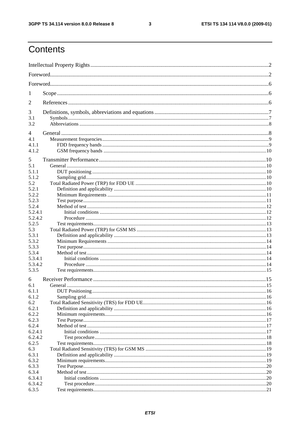#### $\mathbf{3}$

## Contents

| 1       |          |  |
|---------|----------|--|
| 2       |          |  |
| 3       |          |  |
| 3.1     |          |  |
| 3.2     |          |  |
| 4       |          |  |
| 4.1     |          |  |
| 4.1.1   |          |  |
| 4.1.2   |          |  |
|         |          |  |
| 5       |          |  |
| 5.1     |          |  |
| 5.1.1   |          |  |
| 5.1.2   |          |  |
| 5.2     |          |  |
| 5.2.1   |          |  |
| 5.2.2   |          |  |
| 5.2.3   |          |  |
| 5.2.4   |          |  |
| 5.2.4.1 |          |  |
| 5.2.4.2 |          |  |
| 5.2.5   |          |  |
| 5.3     |          |  |
| 5.3.1   |          |  |
| 5.3.2   |          |  |
| 5.3.3   |          |  |
| 5.3.4   |          |  |
| 5.3.4.1 |          |  |
| 5.3.4.2 |          |  |
| 5.3.5   |          |  |
| 6       |          |  |
| 6.1     | General. |  |
| 6.1.1   |          |  |
| 6.1.2   |          |  |
| 6.2     |          |  |
| 6.2.1   |          |  |
| 6.2.2   |          |  |
| 6.2.3   |          |  |
| 6.2.4   |          |  |
| 6.2.4.1 |          |  |
| 6.2.4.2 |          |  |
| 6.2.5   |          |  |
| 6.3     |          |  |
| 6.3.1   |          |  |
| 6.3.2   |          |  |
| 6.3.3   |          |  |
| 6.3.4   |          |  |
| 6.3.4.1 |          |  |
| 6.3.4.2 |          |  |
| 6.3.5   |          |  |
|         |          |  |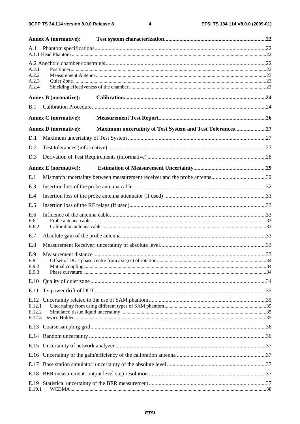$\overline{\mathbf{4}}$ 

|              | <b>Annex A (normative):</b> |                                                          |  |
|--------------|-----------------------------|----------------------------------------------------------|--|
| A.1          |                             |                                                          |  |
| A.2.1        |                             |                                                          |  |
| A.2.2        |                             |                                                          |  |
| A.2.3        |                             |                                                          |  |
| A.2.4        |                             |                                                          |  |
|              | <b>Annex B</b> (normative): |                                                          |  |
| B.1          |                             |                                                          |  |
|              | <b>Annex C</b> (normative): |                                                          |  |
|              | <b>Annex D</b> (normative): | Maximum uncertainty of Test System and Test Tolerances27 |  |
| D.1          |                             |                                                          |  |
| D.2          |                             |                                                          |  |
| D.3          |                             |                                                          |  |
|              | <b>Annex E</b> (normative): |                                                          |  |
| E.1          |                             |                                                          |  |
| E.3          |                             |                                                          |  |
| E.4          |                             |                                                          |  |
| E.5          |                             |                                                          |  |
| E.6          |                             |                                                          |  |
| E.6.1        |                             |                                                          |  |
| E.6.2<br>E.7 |                             |                                                          |  |
|              |                             |                                                          |  |
| E.8          |                             |                                                          |  |
| E.9<br>E.9.1 |                             |                                                          |  |
| E.9.2        |                             |                                                          |  |
| E.9.3        |                             |                                                          |  |
| E.10         |                             |                                                          |  |
| E.11         |                             |                                                          |  |
|              |                             |                                                          |  |
| E.12.1       |                             |                                                          |  |
| E.12.2       |                             |                                                          |  |
|              |                             |                                                          |  |
|              |                             |                                                          |  |
|              |                             |                                                          |  |
|              |                             |                                                          |  |
| E.17         |                             |                                                          |  |
| E.18         |                             |                                                          |  |
|              |                             |                                                          |  |
| E.19.1       |                             |                                                          |  |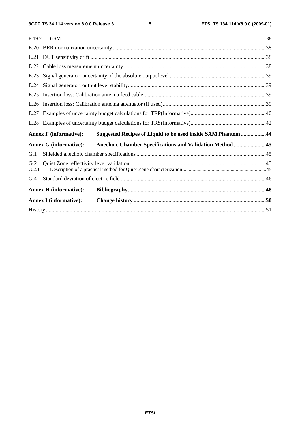| E.19.2       |                               |                                                              |  |
|--------------|-------------------------------|--------------------------------------------------------------|--|
|              |                               |                                                              |  |
|              |                               |                                                              |  |
|              |                               |                                                              |  |
| E.23         |                               |                                                              |  |
| E.24         |                               |                                                              |  |
| E.25         |                               |                                                              |  |
| E.26         |                               |                                                              |  |
| E.27         |                               |                                                              |  |
| E.28         |                               |                                                              |  |
|              |                               |                                                              |  |
|              | <b>Annex F</b> (informative): | Suggested Recipes of Liquid to be used inside SAM Phantom 44 |  |
|              | <b>Annex G (informative):</b> | Anechoic Chamber Specifications and Validation Method 45     |  |
| G.1          |                               |                                                              |  |
| G.2<br>G.2.1 |                               |                                                              |  |
| G.4          |                               |                                                              |  |
|              | <b>Annex H</b> (informative): |                                                              |  |
|              | <b>Annex I</b> (informative): |                                                              |  |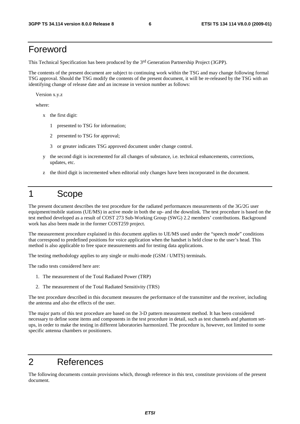### Foreword

This Technical Specification has been produced by the 3rd Generation Partnership Project (3GPP).

The contents of the present document are subject to continuing work within the TSG and may change following formal TSG approval. Should the TSG modify the contents of the present document, it will be re-released by the TSG with an identifying change of release date and an increase in version number as follows:

Version x.y.z

where:

- x the first digit:
	- 1 presented to TSG for information;
	- 2 presented to TSG for approval;
	- 3 or greater indicates TSG approved document under change control.
- y the second digit is incremented for all changes of substance, i.e. technical enhancements, corrections, updates, etc.
- z the third digit is incremented when editorial only changes have been incorporated in the document.

## 1 Scope

The present document describes the test procedure for the radiated performances measurements of the 3G/2G user equipment/mobile stations (UE/MS) in active mode in both the up- and the downlink. The test procedure is based on the test method developed as a result of COST 273 Sub-Working Group (SWG) 2.2 members' contributions. Background work has also been made in the former COST259 project.

The measurement procedure explained in this document applies to UE/MS used under the "speech mode" conditions that correspond to predefined positions for voice application when the handset is held close to the user's head. This method is also applicable to free space measurements and for testing data applications.

The testing methodology applies to any single or multi-mode (GSM / UMTS) terminals.

The radio tests considered here are:

- 1. The measurement of the Total Radiated Power (TRP)
- 2. The measurement of the Total Radiated Sensitivity (TRS)

The test procedure described in this document measures the performance of the transmitter and the receiver, including the antenna and also the effects of the user.

The major parts of this test procedure are based on the 3-D pattern measurement method. It has been considered necessary to define some items and components in the test procedure in detail, such as test channels and phantom setups, in order to make the testing in different laboratories harmonized. The procedure is, however, not limited to some specific antenna chambers or positioners.

## 2 References

The following documents contain provisions which, through reference in this text, constitute provisions of the present document.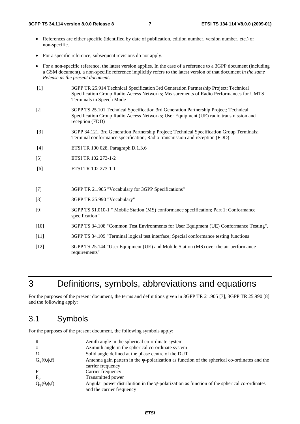- References are either specific (identified by date of publication, edition number, version number, etc.) or non-specific.
- For a specific reference, subsequent revisions do not apply.
- For a non-specific reference, the latest version applies. In the case of a reference to a 3GPP document (including a GSM document), a non-specific reference implicitly refers to the latest version of that document *in the same Release as the present document*.
- [1] 3GPP TR 25.914 Technical Specification 3rd Generation Partnership Project; Technical Specification Group Radio Access Networks; Measurements of Radio Performances for UMTS Terminals in Speech Mode
- [2] 3GPP TS 25.101 Technical Specification 3rd Generation Partnership Project; Technical Specification Group Radio Access Networks; User Equipment (UE) radio transmission and reception (FDD)
- [3] 3GPP 34.121, 3rd Generation Partnership Project; Technical Specification Group Terminals; Terminal conformance specification; Radio transmission and reception (FDD)
- [4] ETSI TR 100 028, Paragraph D.1.3.6
- [5] ETSI TR 102 273-1-2
- [6] ETSI TR 102 273-1-1
- [7] 3GPP TR 21.905 "Vocabulary for 3GPP Specifications"
- [8] 3GPP TR 25.990 "Vocabulary"
- [9] 3GPP TS 51.010-1 " Mobile Station (MS) conformance specification; Part 1: Conformance specification "
- [10] 3GPP TS 34.108 "Common Test Environments for User Equipment (UE) Conformance Testing".
- [11] 3GPP TS 34.109 "Terminal logical test interface; Special conformance testing functions
- [12] 3GPP TS 25.144 "User Equipment (UE) and Mobile Station (MS) over the air performance requirements"

## 3 Definitions, symbols, abbreviations and equations

For the purposes of the present document, the terms and definitions given in 3GPP TR 21.905 [7], 3GPP TR 25.990 [8] and the following apply:

### 3.1 Symbols

For the purposes of the present document, the following symbols apply:

| $\theta$                    | Zenith angle in the spherical co-ordinate system                                                                              |
|-----------------------------|-------------------------------------------------------------------------------------------------------------------------------|
| Ø                           | Azimuth angle in the spherical co-ordinate system                                                                             |
| Ω                           | Solid angle defined at the phase centre of the DUT                                                                            |
| $G_{\psi}(\theta, \phi, f)$ | Antenna gain pattern in the $\psi$ -polarization as function of the spherical co-ordinates and the<br>carrier frequency       |
| F                           | Carrier frequency                                                                                                             |
| $P_{tr}$                    | Transmitted power                                                                                                             |
| $Q_{\psi}(\theta, \phi, f)$ | Angular power distribution in the $\psi$ -polarization as function of the spherical co-ordinates<br>and the carrier frequency |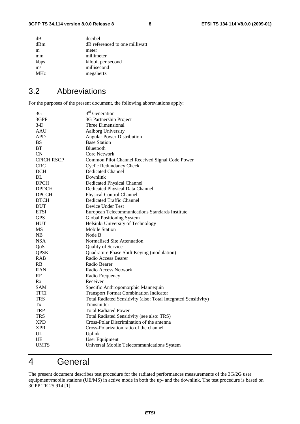| dB              | decibel                        |
|-----------------|--------------------------------|
| dBm             | dB referenced to one milliwatt |
| m               | meter                          |
| mm              | millimeter                     |
| kbps            | kilobit per second             |
| ms              | millisecond                    |
| MH <sub>z</sub> | megahertz                      |
|                 |                                |

### 3.2 Abbreviations

For the purposes of the present document, the following abbreviations apply:

| 3G                | 3 <sup>rd</sup> Generation                                      |
|-------------------|-----------------------------------------------------------------|
| 3GPP              | 3G Partnership Project                                          |
| $3-D$             | Three Dimensional                                               |
| AAU               | Aalborg University                                              |
| <b>APD</b>        | <b>Angular Power Distribution</b>                               |
| <b>BS</b>         | <b>Base Station</b>                                             |
| <b>BT</b>         | <b>Bluetooth</b>                                                |
| <b>CN</b>         | Core Network                                                    |
| <b>CPICH RSCP</b> | Common Pilot Channel Received Signal Code Power                 |
| <b>CRC</b>        | <b>Cyclic Redundancy Check</b>                                  |
| DCH               | <b>Dedicated Channel</b>                                        |
| <b>DL</b>         | Downlink                                                        |
| <b>DPCH</b>       | <b>Dedicated Physical Channel</b>                               |
| <b>DPDCH</b>      | Dedicated Physical Data Channel                                 |
| <b>DPCCH</b>      | Physical Control Channel                                        |
| <b>DTCH</b>       | Dedicated Traffic Channel                                       |
| <b>DUT</b>        | Device Under Test                                               |
| <b>ETSI</b>       | European Telecommunications Standards Institute                 |
| <b>GPS</b>        | Global Positioning System                                       |
| <b>HUT</b>        | Helsinki University of Technology                               |
| <b>MS</b>         | <b>Mobile Station</b>                                           |
| NB                | Node B                                                          |
| <b>NSA</b>        | Normalised Site Attenuation                                     |
| QoS               | Quality of Service                                              |
| <b>QPSK</b>       | Quadrature Phase Shift Keying (modulation)                      |
| <b>RAB</b>        | Radio Access Bearer                                             |
| <b>RB</b>         | Radio Bearer                                                    |
| RAN               | Radio Access Network                                            |
| RF                | Radio Frequency                                                 |
| Rx                | Receiver                                                        |
| <b>SAM</b>        | Specific Anthropomorphic Mannequin                              |
| <b>TFCI</b>       | <b>Transport Format Combination Indicator</b>                   |
| <b>TRS</b>        | Total Radiated Sensitivity (also: Total Integrated Sensitivity) |
| Тx                | Transmitter                                                     |
| TRP               | <b>Total Radiated Power</b>                                     |
| <b>TRS</b>        | Total Radiated Sensitivity (see also: TRS)                      |
| <b>XPD</b>        | Cross-Polar Discrimination of the antenna                       |
| <b>XPR</b>        | Cross-Polarization ratio of the channel                         |
| UL                | Uplink                                                          |
| UE                | User Equipment                                                  |
| <b>UMTS</b>       | Universal Mobile Telecommunications System                      |

## 4 General

The present document describes test procedure for the radiated performances measurements of the 3G/2G user equipment/mobile stations (UE/MS) in active mode in both the up- and the downlink. The test procedure is based on 3GPP TR 25.914 [1].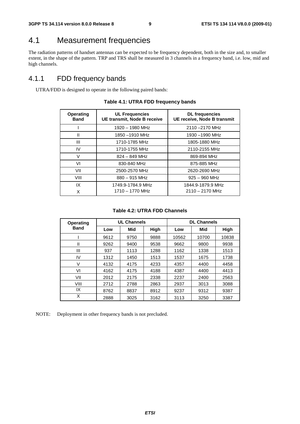### 4.1 Measurement frequencies

The radiation patterns of handset antennas can be expected to be frequency dependent, both in the size and, to smaller extent, in the shape of the pattern. TRP and TRS shall be measured in 3 channels in a frequency band, i.e. low, mid and high channels.

### 4.1.1 FDD frequency bands

UTRA/FDD is designed to operate in the following paired bands:

| <b>Operating</b><br><b>Band</b> | <b>UL Frequencies</b><br>UE transmit, Node B receive | <b>DL</b> frequencies<br>UE receive, Node B transmit |
|---------------------------------|------------------------------------------------------|------------------------------------------------------|
|                                 | 1920 - 1980 MHz                                      | 2110-2170 MHz                                        |
| $\mathsf{I}$                    | 1850-1910 MHz                                        | 1930-1990 MHz                                        |
| Ш                               | 1710-1785 MHz                                        | 1805-1880 MHz                                        |
| IV                              | 1710-1755 MHz                                        | 2110-2155 MHz                                        |
| v                               | $824 - 849$ MHz                                      | 869-894 MHz                                          |
| VI                              | 830-840 MHz                                          | 875-885 MHz                                          |
| VII                             | 2500-2570 MHz                                        | 2620-2690 MHz                                        |
| VIII                            | $880 - 915$ MHz                                      | $925 - 960$ MHz                                      |
| IX                              | 1749.9-1784.9 MHz                                    | 1844.9-1879.9 MHz                                    |
| X                               | 1710 - 1770 MHz                                      | $2110 - 2170$ MHz                                    |

#### **Table 4.1: UTRA FDD frequency bands**

#### **Table 4.2: UTRA FDD Channels**

| <b>Operating</b> | <b>UL Channels</b> |      |      | <b>DL Channels</b> |       |       |  |
|------------------|--------------------|------|------|--------------------|-------|-------|--|
| <b>Band</b>      | Low                | Mid  | High | Low                | Mid   | High  |  |
|                  | 9612               | 9750 | 9888 | 10562              | 10700 | 10838 |  |
| Ш                | 9262               | 9400 | 9538 | 9662               | 9800  | 9938  |  |
| Ш                | 937                | 1113 | 1288 | 1162               | 1338  | 1513  |  |
| IV               | 1312               | 1450 | 1513 | 1537               | 1675  | 1738  |  |
| V                | 4132               | 4175 | 4233 | 4357               | 4400  | 4458  |  |
| VI               | 4162               | 4175 | 4188 | 4387               | 4400  | 4413  |  |
| VII              | 2012               | 2175 | 2338 | 2237               | 2400  | 2563  |  |
| VIII             | 2712               | 2788 | 2863 | 2937               | 3013  | 3088  |  |
| IX               | 8762               | 8837 | 8912 | 9237               | 9312  | 9387  |  |
| X                | 2888               | 3025 | 3162 | 3113               | 3250  | 3387  |  |

NOTE: Deployment in other frequency bands is not precluded.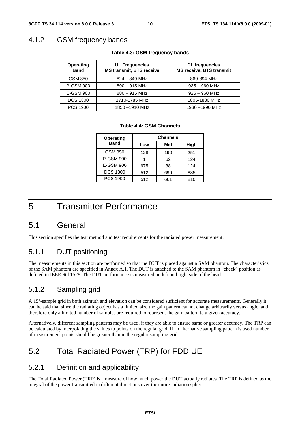### 4.1.2 GSM frequency bands

| <b>UL Frequencies</b><br><b>Operating</b><br><b>MS transmit, BTS receive</b><br><b>Band</b> |                 | <b>DL</b> frequencies<br><b>MS receive, BTS transmit</b> |
|---------------------------------------------------------------------------------------------|-----------------|----------------------------------------------------------|
| <b>GSM 850</b>                                                                              | $824 - 849$ MHz | 869-894 MHz                                              |
| <b>P-GSM 900</b>                                                                            | $890 - 915$ MHz | $935 - 960$ MHz                                          |
| E-GSM 900                                                                                   | $880 - 915$ MHz | $925 - 960$ MHz                                          |
| <b>DCS 1800</b>                                                                             | 1710-1785 MHz   | 1805-1880 MHz                                            |
| <b>PCS 1900</b>                                                                             | 1850-1910 MHz   | 1930-1990 MHz                                            |

#### **Table 4.3: GSM frequency bands**

#### **Table 4.4: GSM Channels**

| <b>Operating</b> | <b>Channels</b> |     |      |  |
|------------------|-----------------|-----|------|--|
| <b>Band</b>      | Low             | Mid | High |  |
| <b>GSM 850</b>   | 128             | 190 | 251  |  |
| <b>P-GSM 900</b> |                 | 62  | 124  |  |
| E-GSM 900        | 975             | 38  | 124  |  |
| <b>DCS 1800</b>  | 512             | 699 | 885  |  |
| <b>PCS 1900</b>  | 512             | 661 | 810  |  |

### 5 Transmitter Performance

### 5.1 General

This section specifies the test method and test requirements for the radiated power measurement.

### 5.1.1 DUT positioning

The measurements in this section are performed so that the DUT is placed against a SAM phantom. The characteristics of the SAM phantom are specified in Annex A.1. The DUT is attached to the SAM phantom in "cheek" position as defined in IEEE Std 1528. The DUT performance is measured on left and right side of the head.

### 5.1.2 Sampling grid

A 15°-sample grid in both azimuth and elevation can be considered sufficient for accurate measurements. Generally it can be said that since the radiating object has a limited size the gain pattern cannot change arbitrarily versus angle, and therefore only a limited number of samples are required to represent the gain pattern to a given accuracy.

Alternatively, different sampling patterns may be used, if they are able to ensure same or greater accuracy. The TRP can be calculated by interpolating the values to points on the regular grid. If an alternative sampling pattern is used number of measurement points should be greater than in the regular sampling grid.

### 5.2 Total Radiated Power (TRP) for FDD UE

### 5.2.1 Definition and applicability

The Total Radiated Power (TRP) is a measure of how much power the DUT actually radiates. The TRP is defined as the integral of the power transmitted in different directions over the entire radiation sphere: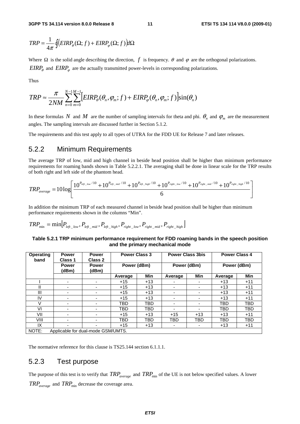$$
TRP = \frac{1}{4\pi} \oint \left( EIRP_{\theta}(\Omega; f) + EIRP_{\varphi}(\Omega; f) \right) d\Omega
$$

Where  $\Omega$  is the solid angle describing the direction,  $f$  is frequency.  $\theta$  and  $\varphi$  are the orthogonal polarizations.  $EIRP_{\theta}$  and  $EIRP_{\phi}$  are the actually transmitted power-levels in corresponding polarizations.

Thus

$$
TRP \approx \frac{\pi}{2NM} \sum_{n=0}^{N-1} \sum_{m=0}^{M-1} [EIRP_{\theta}(\theta_n, \varphi_m; f) + EIRP_{\varphi}(\theta_n, \varphi_m; f)] \sin(\theta_n)
$$

In these formulas *N* and *M* are the number of sampling intervals for theta and phi.  $\theta_n$  and  $\varphi_m$  are the measurement angles. The sampling intervals are discussed further in Section 5.1.2.

The requirements and this test apply to all types of UTRA for the FDD UE for Release 7 and later releases.

### 5.2.2 Minimum Requirements

The average TRP of low, mid and high channel in beside head position shall be higher than minimum performance requirements for roaming bands shown in Table 5.2.2.1. The averaging shall be done in linear scale for the TRP results of both right and left side of the phantom head.

$$
TRP_{average} = 10 log \left[ \frac{10^{P_{left\_low}/10} + 10^{P_{left\_mid}/10} + 10^{P_{left\_high}/10} + 10^{P_{right\_low}/10} + 10^{P_{right\_mid}/10} + 10^{P_{right\_mid}/10}}{6} \right]
$$

In addition the minimum TRP of each measured channel in beside head position shall be higher than minimum performance requirements shown in the columns "Min".

$$
TRP_{\min} = \min[P_{left\_low}, P_{left\_mid}, P_{left\_high}, P_{right\_low}, P_{right\_mid}, P_{right\_high}]
$$

#### **Table 5.2.1 TRP minimum performance requirement for FDD roaming bands in the speech position and the primary mechanical mode**

| <b>Operating</b><br>band | <b>Power</b><br>Class 1            | <b>Power</b><br>Class 2  | <b>Power Class 3</b> |            | <b>Power Class 3bis</b> |                          | <b>Power Class 4</b> |            |
|--------------------------|------------------------------------|--------------------------|----------------------|------------|-------------------------|--------------------------|----------------------|------------|
|                          | <b>Power</b><br>(dBm)              | <b>Power</b><br>(dBm)    | Power (dBm)          |            | Power (dBm)             |                          | Power (dBm)          |            |
|                          |                                    |                          | Average              | Min        | Average                 | Min                      | Average              | <b>Min</b> |
|                          | $\overline{\phantom{0}}$           | ٠                        | $+15$                | $+13$      |                         |                          | $+13$                | $+11$      |
|                          |                                    |                          | $+15$                | $+13$      |                         |                          | $+13$                | $+11$      |
| III                      |                                    | $\overline{\phantom{0}}$ | $+15$                | $+13$      |                         |                          | $+13$                | $+11$      |
| IV                       |                                    |                          | $+15$                | $+13$      | -                       |                          | $+13$                | $+11$      |
|                          | -                                  | $\overline{\phantom{0}}$ | TBD                  | <b>TBD</b> | -                       |                          | TBD                  | TBD        |
| VI                       | -                                  | $\blacksquare$           | TBD                  | TBD        | -                       | $\overline{\phantom{0}}$ | <b>TBD</b>           | TBD        |
| VII                      |                                    | $\overline{\phantom{0}}$ | $+15$                | $+13$      | $+15$                   | $+13$                    | $+13$                | $+11$      |
| VIII                     | -                                  | $\overline{\phantom{0}}$ | <b>TBD</b>           | TBD        | <b>TBD</b>              | <b>TBD</b>               | TBD                  | TBD        |
| IX                       | $\overline{\phantom{0}}$           | -                        | $+15$                | $+13$      | -                       | ۰                        | $+13$                | $+11$      |
| NOTE:                    | Applicable for dual-mode GSM/UMTS. |                          |                      |            |                         |                          |                      |            |

The normative reference for this clause is TS25.144 section 6.1.1.1.

### 5.2.3 Test purpose

The purpose of this test is to verify that  $TRP_{average}$  and  $TRP_{min}$  of the UE is not below specified values. A lower  $TRP_{average}$  and  $TRP_{min}$  decrease the coverage area.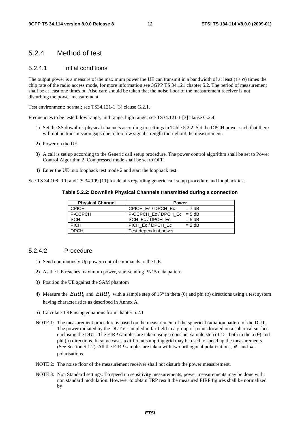#### 5.2.4 Method of test

#### 5.2.4.1 Initial conditions

The output power is a measure of the maximum power the UE can transmit in a bandwidth of at least  $(1+\alpha)$  times the chip rate of the radio access mode, for more information see 3GPP TS 34.121 chapter 5.2. The period of measurement shall be at least one timeslot. Also care should be taken that the noise floor of the measurement receiver is not disturbing the power measurement.

Test environment: normal; see TS34.121-1 [3] clause G.2.1.

Frequencies to be tested: low range, mid range, high range; see TS34.121-1 [3] clause G.2.4.

- 1) Set the SS downlink physical channels according to settings in Table 5.2.2. Set the DPCH power such that there will not be transmission gaps due to too low signal strength thorughout the measurement.
- 2) Power on the UE.
- 3) A call is set up according to the Generic call setup procedure. The power control algorithm shall be set to Power Control Algorithm 2. Compressed mode shall be set to OFF.
- 4) Enter the UE into loopback test mode 2 and start the loopback test.

See TS 34.108 [10] and TS 34.109 [11] for details regarding generic call setup procedure and loopback test.

| <b>Physical Channel</b> | <b>Power</b>                 |  |
|-------------------------|------------------------------|--|
| <b>CPICH</b>            | CPICH Ec/DPCH Ec<br>$= 7$ dB |  |
| P-CCPCH                 | P-CCPCH Ec/DPCH Ec = $5 dB$  |  |
| <b>SCH</b>              | SCH_Ec / DPCH_Ec<br>$= 5 dB$ |  |
| <b>PICH</b>             | PICH Ec/DPCH Ec<br>$= 2$ dB  |  |
| <b>DPCH</b>             | Test dependent power         |  |

#### 5.2.4.2 Procedure

- 1) Send continuously Up power control commands to the UE.
- 2) As the UE reaches maximum power, start sending PN15 data pattern.
- 3) Position the UE against the SAM phantom
- 4) Measure the  $EIRP_\theta$  and  $EIRP_\phi$  with a sample step of 15° in theta ( $\theta$ ) and phi ( $\phi$ ) directions using a test system having characteristics as described in Annex A.
- 5) Calculate TRP using equations from chapter 5.2.1
- NOTE 1: The measurement procedure is based on the measurement of the spherical radiation pattern of the DUT. The power radiated by the DUT is sampled in far field in a group of points located on a spherical surface enclosing the DUT. The EIRP samples are taken using a constant sample step of 15 $^{\circ}$  both in theta ( $\theta$ ) and phi (φ) directions. In some cases a different sampling grid may be used to speed up the measurements (See Section 5.1.2). All the EIRP samples are taken with two orthogonal polarizations,  $\theta$  - and  $\varphi$  polarisations.
- NOTE 2: The noise floor of the measurement receiver shall not disturb the power measurement.
- NOTE 3: Non Standard settings: To speed up sensitivity measurements, power measurements may be done with non standard modulation. However to obtain TRP result the measured EIRP figures shall be normalized by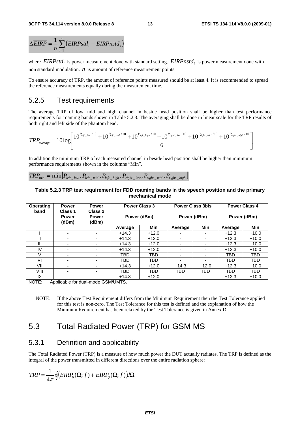$$
\Delta \overline{EIRP} = \frac{1}{n} \sum_{i=1}^{n} (EIRPstd_i - EIRPnstd_i)
$$

where *EIRPstd<sub>i</sub>* is power measurement done with standard setting. *EIRPnstd<sub>i</sub>* is power measurement done with non standard modulation. *n* is amount of reference measurement points.

To ensure accuracy of TRP, the amount of reference points measured should be at least 4. It is recommended to spread the reference measurements equally during the measurement time.

### 5.2.5 Test requirements

The average TRP of low, mid and high channel in beside head position shall be higher than test performance requirements for roaming bands shown in Table 5.2.3. The averaging shall be done in linear scale for the TRP results of both right and left side of the phantom head.

$$
TRP_{average}=10\log\left[\frac{10^{P_{left\_low}/10}+10^{P_{left\_mid}/10}+10^{P_{left\_high}/10}+10^{P_{right\_low}/10}+10^{P_{right\_mid}/10}+10^{P_{right\_mid}/10}}{6}\right]
$$

In addition the minimum TRP of each measured channel in beside head position shall be higher than minimum performance requirements shown in the columns "Min".

 $TRP_{min} = min \Big[ P_{left\_low}, P_{left\_mid}, P_{left\_high}, P_{right\_low}, P_{right\_mid}, P_{right\_mid} \Big]$ 

#### **Table 5.2.3 TRP test requirement for FDD roaming bands in the speech position and the primary mechanical mode**

| <b>Operating</b><br>band | <b>Power</b><br>Class 1            | <b>Power</b><br>Class 2 | <b>Power Class 3</b> |             | <b>Power Class 3bis</b>  |                          | <b>Power Class 4</b> |            |
|--------------------------|------------------------------------|-------------------------|----------------------|-------------|--------------------------|--------------------------|----------------------|------------|
|                          | <b>Power</b><br>(dBm)              | <b>Power</b><br>(dBm)   |                      | Power (dBm) | Power (dBm)              |                          | Power (dBm)          |            |
|                          |                                    |                         | Average              | Min         | Average                  | Min                      | Average              | Min        |
|                          |                                    |                         | $+14.3$              | $+12.0$     |                          |                          | $+12.3$              | $+10.0$    |
|                          | -                                  |                         | $+14.3$              | $+12.0$     | -                        | ۰                        | $+12.3$              | $+10.0$    |
| Ш                        | -                                  |                         | $+14.3$              | $+12.0$     | $\overline{\phantom{0}}$ | $\overline{\phantom{0}}$ | $+12.3$              | $+10.0$    |
| IV                       | ۰                                  |                         | $+14.3$              | $+12.0$     | -                        | -                        | $+12.3$              | $+10.0$    |
| V                        |                                    |                         | TBD                  | TBD         | $\overline{\phantom{0}}$ |                          | TBD                  | TBD        |
| VI                       |                                    |                         | TBD                  | <b>TBD</b>  |                          |                          | TBD                  | <b>TBD</b> |
| VII                      |                                    |                         | $+14.3$              | $+12.0$     | $+14.3$                  | $+12.0$                  | $+12.3$              | $+10.0$    |
| VIII                     |                                    |                         | TBD                  | TBD         | TBD                      | TBD                      | TBD                  | <b>TBD</b> |
| IX                       |                                    |                         | $+14.3$              | $+12.0$     | ۰                        | $\overline{\phantom{0}}$ | $+12.3$              | $+10.0$    |
| NOTE:                    | Applicable for dual-mode GSM/UMTS. |                         |                      |             |                          |                          |                      |            |

NOTE: If the above Test Requirement differs from the Minimum Requirement then the Test Tolerance applied for this test is non-zero. The Test Tolerance for this test is defined and the explanation of how the Minimum Requirement has been relaxed by the Test Tolerance is given in Annex D.

### 5.3 Total Radiated Power (TRP) for GSM MS

#### 5.3.1 Definition and applicability

The Total Radiated Power (TRP) is a measure of how much power the DUT actually radiates. The TRP is defined as the integral of the power transmitted in different directions over the entire radiation sphere:

$$
TRP = \frac{1}{4\pi} \oint \Big( EIRP_{\theta}(\Omega; f) + EIRP_{\varphi}(\Omega; f) \Big) d\Omega
$$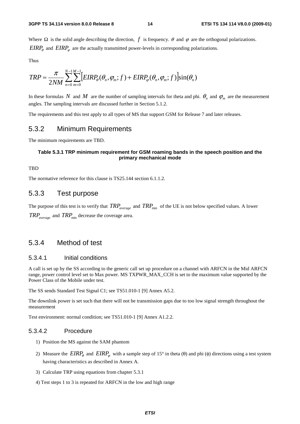Where  $\Omega$  is the solid angle describing the direction, *f* is frequency.  $\theta$  and  $\varphi$  are the orthogonal polarizations.  $EIRP_{\theta}$  and  $EIRP_{\phi}$  are the actually transmitted power-levels in corresponding polarizations.

Thus

$$
TRP \approx \frac{\pi}{2NM} \sum_{n=0}^{N-1} \sum_{m=0}^{M-1} \Big[ EIRP_{\theta}(\theta_n, \varphi_m; f) + EIRP_{\varphi}(\theta_n, \varphi_m; f) \Big] \sin(\theta_n)
$$

In these formulas *N* and *M* are the number of sampling intervals for theta and phi.  $\theta_n$  and  $\varphi_m$  are the measurement angles. The sampling intervals are discussed further in Section 5.1.2.

The requirements and this test apply to all types of MS that support GSM for Release 7 and later releases.

#### 5.3.2 Minimum Requirements

The minimum requirements are TBD.

#### **Table 5.3.1 TRP minimum requirement for GSM roaming bands in the speech position and the primary mechanical mode**

#### **TBD**

The normative reference for this clause is TS25.144 section 6.1.1.2.

### 5.3.3 Test purpose

The purpose of this test is to verify that  $TRP_{average}$  and  $TRP_{min}$  of the UE is not below specified values. A lower  $TRP_{average}$  and  $TRP_{min}$  decrease the coverage area.

### 5.3.4 Method of test

#### 5.3.4.1 Initial conditions

A call is set up by the SS according to the generic call set up procedure on a channel with ARFCN in the Mid ARFCN range, power control level set to Max power. MS TXPWR\_MAX\_CCH is set to the maximum value supported by the Power Class of the Mobile under test.

The SS sends Standard Test Signal C1; see TS51.010-1 [9] Annex A5.2.

The downlink power is set such that there will not be transmission gaps due to too low signal strength throughout the measurement

Test environment: normal condition; see TS51.010-1 [9] Annex A1.2.2.

#### 5.3.4.2 Procedure

- 1) Position the MS against the SAM phantom
- 2) Measure the  $EIRP_{\theta}$  and  $EIRP_{\phi}$  with a sample step of 15° in theta ( $\theta$ ) and phi ( $\phi$ ) directions using a test system having characteristics as described in Annex A.
- 3) Calculate TRP using equations from chapter 5.3.1
- 4) Test steps 1 to 3 is repeated for ARFCN in the low and high range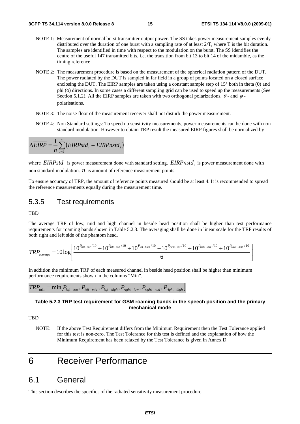- NOTE 1: Measurement of normal burst transmitter output power. The SS takes power measurement samples evenly distributed over the duration of one burst with a sampling rate of at least 2/T, where T is the bit duration. The samples are identified in time with respect to the modulation on the burst. The SS identifies the centre of the useful 147 transmitted bits, i.e. the transition from bit 13 to bit 14 of the midamble, as the timing reference
- NOTE 2: The measurement procedure is based on the measurement of the spherical radiation pattern of the DUT. The power radiated by the DUT is sampled in far field in a group of points located on a closed surface enclosing the DUT. The EIRP samples are taken using a constant sample step of  $15^{\circ}$  both in theta ( $\theta$ ) and phi (φ) directions. In some cases a different sampling grid can be used to speed up the measurements (See Section 5.1.2). All the EIRP samples are taken with two orthogonal polarizations,  $\theta$ - and  $\varphi$ polarisations.
- NOTE 3: The noise floor of the measurement receiver shall not disturb the power measurement.
- NOTE 4: Non Standard settings: To speed up sensitivity measurements, power measurements can be done with non standard modulation. However to obtain TRP result the measured EIRP figures shall be normalized by

$$
\Delta \overline{EIRP} = \frac{1}{n} \sum_{i=1}^{n} (EIRPstd_i - EIRPnstd_i)
$$

where *EIRPstd*<sub>i</sub> is power measurement done with standard setting. *EIRPnstd*<sub>i</sub> is power measurement done with non standard modulation. *n* is amount of reference measurement points.

To ensure accuracy of TRP, the amount of reference points measured should be at least 4. It is recommended to spread the reference measurements equally during the measurement time.

### 5.3.5 Test requirements

**TBD** 

The average TRP of low, mid and high channel in beside head position shall be higher than test performance requirements for roaming bands shown in Table 5.2.3. The averaging shall be done in linear scale for the TRP results of both right and left side of the phantom head.

$$
TRP_{average}=10\log\left[\frac{10^{P_{left\_low}/10}+10^{P_{left\_mid}/10}+10^{P_{left\_high}/10}+10^{P_{right\_low}/10}+10^{P_{right\_mid}/10}+10^{P_{right\_mid}/10}}{6}\right]
$$

In addition the minimum TRP of each measured channel in beside head position shall be higher than minimum performance requirements shown in the columns "Min".

$$
TRP_{\min} = \min[P_{\text{left\_low}}, P_{\text{left\_mid}}, P_{\text{left\_high}}, P_{\text{right\_low}}, P_{\text{right\_mid}}, P_{\text{right\_high}}]
$$

#### **Table 5.2.3 TRP test requirement for GSM roaming bands in the speech position and the primary mechanical mode**

**TBD** 

NOTE: If the above Test Requirement differs from the Minimum Requirement then the Test Tolerance applied for this test is non-zero. The Test Tolerance for this test is defined and the explanation of how the Minimum Requirement has been relaxed by the Test Tolerance is given in Annex D.

### 6 Receiver Performance

### 6.1 General

This section describes the specifics of the radiated sensitivity measurement procedure.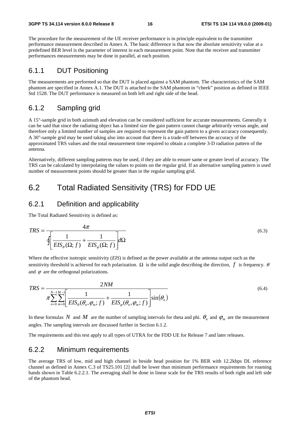The procedure for the measurement of the UE receiver performance is in principle equivalent to the transmitter performance measurement described in Annex A. The basic difference is that now the absolute sensitivity value at a predefined BER level is the parameter of interest in each measurement point. Note that the receiver and transmitter performances measurements may be done in parallel, at each position.

### 6.1.1 DUT Positioning

The measurements are performed so that the DUT is placed against a SAM phantom. The characteristics of the SAM phantom are specified in Annex A.1. The DUT is attached to the SAM phantom in "cheek" position as defined in IEEE Std 1528. The DUT performance is measured on both left and right side of the head.

### 6.1.2 Sampling grid

A 15°-sample grid in both azimuth and elevation can be considered sufficient for accurate measurements. Generally it can be said that since the radiating object has a limited size the gain pattern cannot change arbitrarily versus angle, and therefore only a limited number of samples are required to represent the gain pattern to a given accuracy consequently. A 30°-sample grid may be used taking also into account that there is a trade-off between the accuracy of the approximated TRS values and the total measurement time required to obtain a complete 3-D radiation pattern of the antenna.

Alternatively, different sampling patterns may be used, if they are able to ensure same or greater level of accuracy. The TRS can be calculated by interpolating the values to points on the regular grid. If an alternative sampling pattern is used number of measurement points should be greater than in the regular sampling grid.

### 6.2 Total Radiated Sensitivity (TRS) for FDD UE

### 6.2.1 Definition and applicability

The Total Radiated Sensitivity is defined as:

$$
TRS = \frac{4\pi}{\sqrt{\left(\frac{1}{EIS_{\theta}(\Omega; f)} + \frac{1}{EIS_{\varphi}(\Omega; f)}\right)}d\Omega}
$$
(6.3)

Where the effective isotropic sensitivity (*EIS*) is defined as the power available at the antenna output such as the sensitivity threshold is achieved for each polarization.  $\Omega$  is the solid angle describing the direction, *f* is frequency.  $\theta$ and  $\varphi$  are the orthogonal polarizations.

$$
TRS \approx \frac{2NM}{\pi \sum_{n=0}^{N-1} \sum_{m=0}^{M-1} \left[ \frac{1}{EIS_{\theta}(\theta_n, \varphi_m; f)} + \frac{1}{EIS_{\varphi}(\theta_n, \varphi_m; f)} \right] \sin(\theta_n)}
$$
(6.4)

In these formulas *N* and *M* are the number of sampling intervals for theta and phi.  $\theta_n$  and  $\varphi_m$  are the measurement angles. The sampling intervals are discussed further in Section 6.1.2.

The requirements and this test apply to all types of UTRA for the FDD UE for Release 7 and later releases.

### 6.2.2 Minimum requirements

The average TRS of low, mid and high channel in beside head position for 1% BER with 12.2kbps DL reference channel as defined in Annex C.3 of TS25.101 [2] shall be lower than minimum performance requirements for roaming bands shown in Table 6.2.2.1. The averaging shall be done in linear scale for the TRS results of both right and left side of the phantom head.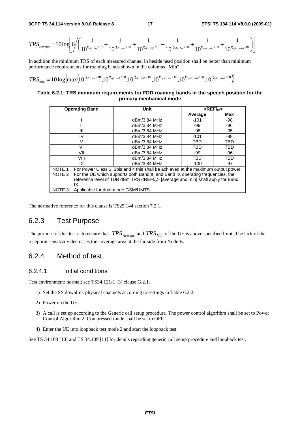$$
TRS_{average} = 10 log \left[ 6 / \left( \frac{1}{10^{P_{left\_low}/10}} + \frac{1}{10^{P_{left\_mid}/10}} + \frac{1}{10^{P_{left\_high}/10}} + \frac{1}{10^{P_{right\_low}/10}} + \frac{1}{10^{P_{right\_low}/10}} + \frac{1}{10^{P_{right\_mid}/10}} + \frac{1}{10^{P_{right\_high}/10}} \right) \right]
$$

In addition the minimum TRS of each measured channel in beside head position shall be better than minimum performance requirements for roaming bands shown in the columns "Min".

$$
TRS_{\text{min}} = 10\log[\max\!\left(\!10^{P_{\text{left\_low}}/10},\!10^{P_{\text{left\_mid}}/10},\!10^{P_{\text{left\_high}}/10},\!10^{P_{\text{right\_low}}/10},\!10^{P_{\text{right\_low}}/10},\!10^{P_{\text{right\_mid}}/10},\!10^{P_{\text{right\_high}}/10}\right)]
$$

#### **Table 6.2.1: TRS minimum requirements for FDD roaming bands in the speech position for the primary mechanical mode**

| <b>Operating Band</b>                                                                             |                                                                                   | Unit         | $\leq$ REF $\hat{I}_{\text{or}}$ |       |  |
|---------------------------------------------------------------------------------------------------|-----------------------------------------------------------------------------------|--------------|----------------------------------|-------|--|
|                                                                                                   |                                                                                   |              | Average                          | Max   |  |
|                                                                                                   |                                                                                   | dBm/3.84 MHz | $-101$                           | -98   |  |
|                                                                                                   | Ш                                                                                 | dBm/3.84 MHz | -99                              | -96   |  |
|                                                                                                   | Ш                                                                                 | dBm/3.84 MHz | -98                              | $-95$ |  |
|                                                                                                   | IV                                                                                | dBm/3.84 MHz | $-101$                           | -98   |  |
|                                                                                                   | V                                                                                 | dBm/3.84 MHz | TBD                              | TBD   |  |
|                                                                                                   | VI                                                                                | dBm/3.84 MHz | TBD                              | TBD   |  |
|                                                                                                   | VII                                                                               | dBm/3.84 MHz | -99                              | -96   |  |
|                                                                                                   | VIII                                                                              | dBm/3.84 MHz | TBD                              | TBD   |  |
|                                                                                                   | IX                                                                                | dBm/3.84 MHz | $-100$                           | $-97$ |  |
| NOTE 1                                                                                            | For Power Class 3, 3bis and 4 this shall be achieved at the maximum output power. |              |                                  |       |  |
| NOTE 2                                                                                            | For the UE which supports both Band III and Band IX operating frequencies, the    |              |                                  |       |  |
| reference level of TDB dBm TRS <refî<sub>or&gt; [average and min] shall apply for Band</refî<sub> |                                                                                   |              |                                  |       |  |
|                                                                                                   | IX.                                                                               |              |                                  |       |  |
| NOTE 3:                                                                                           | Applicable for dual-mode GSM/UMTS.                                                |              |                                  |       |  |

The normative reference for this clause is TS25.144 section 7.2.1.

### 6.2.3 Test Purpose

The purpose of this test is to ensure that *TRS Average* and *TRS Min* of the UE is above specified limit. The lack of the reception sensitivity decreases the coverage area at the far side from Node B.

### 6.2.4 Method of test

#### 6.2.4.1 Initial conditions

Test environment: normal; see TS34.121-1 [3] clause G.2.1.

- 1) Set the SS downlink physical channels according to settings in Table 6.2.2.
- 2) Power on the UE.
- 3) A call is set up according to the Generic call setup procedure. The power control algorithm shall be set to Power Control Algorithm 2. Compressed mode shall be set to OFF.
- 4) Enter the UE into loopback test mode 2 and start the loopback test.

See TS 34.108 [10] and TS 34.109 [11] for details regarding generic call setup procedure and loopback test.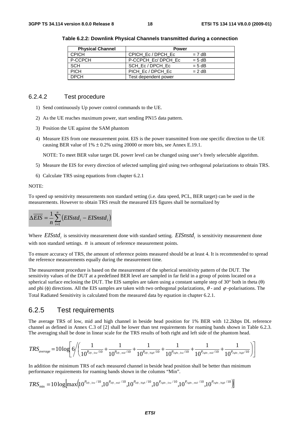| <b>Physical Channel</b> | <b>Power</b>         |          |  |
|-------------------------|----------------------|----------|--|
| <b>CPICH</b>            | CPICH Ec/DPCH Ec     | $= 7$ dB |  |
| P-CCPCH                 | P-CCPCH Ec/DPCH Ec   | $= 5 dB$ |  |
| <b>SCH</b>              | SCH Ec/DPCH Ec       | $= 5 dB$ |  |
| <b>PICH</b>             | PICH Ec/DPCH Ec      | $= 2$ dB |  |
| <b>DPCH</b>             | Test dependent power |          |  |

**Table 6.2.2: Downlink Physical Channels transmitted during a connection** 

#### 6.2.4.2 Test procedure

- 1) Send continuously Up power control commands to the UE.
- 2) As the UE reaches maximum power, start sending PN15 data pattern.
- 3) Position the UE against the SAM phantom
- 4) Measure EIS from one measurement point. EIS is the power transmitted from one specific direction to the UE causing BER value of  $1\% \pm 0.2\%$  using 20000 or more bits, see Annex E.19.1.

NOTE: To meet BER value target DL power level can be changed using user's freely selectable algorithm.

- 5) Measure the EIS for every direction of selected sampling gird using two orthogonal polarizations to obtain TRS.
- 6) Calculate TRS using equations from chapter 6.2.1

NOTE:

To speed up sensitivity measurements non standard setting (i.e. data speed, PCL, BER target) can be used in the measurements. However to obtain TRS result the measured EIS figures shall be normalized by

$$
\Delta \overline{EIS} = \frac{1}{n} \sum_{i=1}^{n} (EISstd_i - EISnstd_i)
$$

Where *EISstd<sub>i</sub>* is sensitivity measurement done with standard setting. *EISnstd<sub>i</sub>* is sensitivity measurement done with non standard settings. *n* is amount of reference measurement points.

To ensure accuracy of TRS, the amount of reference points measured should be at least 4. It is recommended to spread the reference measurements equally during the measurement time.

The measurement procedure is based on the measurement of the spherical sensitivity pattern of the DUT. The sensitivity values of the DUT at a predefined BER level are sampled in far field in a group of points located on a spherical surface enclosing the DUT. The EIS samples are taken using a constant sample step of  $30^{\circ}$  both in theta ( $\theta$ ) and phi (φ) directions. All the EIS samples are taken with two orthogonal polarizations,  $\theta$ - and  $\varphi$ -polarisations. The Total Radiated Sensitivity is calculated from the measured data by equation in chapter 6.2.1.

#### 6.2.5 Test requirements

The average TRS of low, mid and high channel in beside head position for 1% BER with 12.2kbps DL reference channel as defined in Annex C.3 of [2] shall be lower than test requirements for roaming bands shown in Table 6.2.3. The averaging shall be done in linear scale for the TRS results of both right and left side of the phantom head.

$$
TRS_{average} = 10 log \left[ 6 / \left( \frac{1}{10^{P_{left\_low}/10}} + \frac{1}{10^{P_{left\_mid}/10}} + \frac{1}{10^{P_{left\_high}/10}} + \frac{1}{10^{P_{right\_low}/10}} + \frac{1}{10^{P_{right\_low}/10}} + \frac{1}{10^{P_{right\_mid}/10}} + \frac{1}{10^{P_{right\_high}/10}} \right) \right]
$$

In addition the minimum TRS of each measured channel in beside head position shall be better than minimum performance requirements for roaming bands shown in the columns "Min".

$$
TRS_{\text{min}} = 10\log[\max\left(10^{P_{left\_low}/10}, 10^{P_{left\_mid}/10}, 10^{P_{left\_high}/10}, 10^{P_{right\_low}/10}, 10^{P_{right\_low}/10}, 10^{P_{right\_mid}/10}\right)]
$$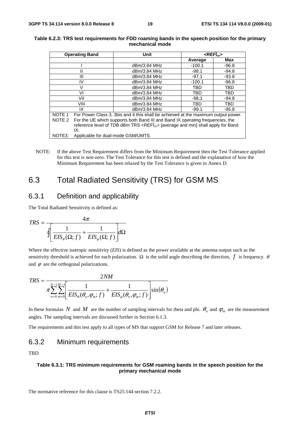| <b>Operating Band</b> |                                                                                                   | <b>Unit</b>                                                                       |          | $REF _{\alpha}$ |
|-----------------------|---------------------------------------------------------------------------------------------------|-----------------------------------------------------------------------------------|----------|-----------------|
|                       |                                                                                                   |                                                                                   | Average  | Max             |
|                       |                                                                                                   | dBm/3.84 MHz                                                                      | $-100.1$ | $-96.8$         |
|                       | Ш                                                                                                 | dBm/3.84 MHz                                                                      | $-98.1$  | $-94.8$         |
|                       | Ш                                                                                                 | dBm/3.84 MHz                                                                      | $-97.1$  | $-93.8$         |
|                       | IV                                                                                                | dBm/3.84 MHz                                                                      | $-100.1$ | $-96.8$         |
|                       | V                                                                                                 | dBm/3.84 MHz                                                                      | TBD      | TBD             |
|                       | VI                                                                                                | dBm/3.84 MHz                                                                      | TBD      | <b>TBD</b>      |
|                       | VII                                                                                               | dBm/3.84 MHz                                                                      | $-98.1$  | $-94.8$         |
|                       | VIII                                                                                              | dBm/3.84 MHz                                                                      | TBD      | TBD             |
|                       | IX                                                                                                | dBm/3.84 MHz                                                                      | $-99.1$  | $-95.8$         |
| NOTE 1                |                                                                                                   | For Power Class 3, 3bis and 4 this shall be achieved at the maximum output power. |          |                 |
| NOTE 2                | For the UE which supports both Band III and Band IX operating frequencies, the                    |                                                                                   |          |                 |
|                       | reference level of TDB dBm TRS <refî<sub>or&gt; [average and min] shall apply for Band</refî<sub> |                                                                                   |          |                 |
|                       | IX.                                                                                               |                                                                                   |          |                 |
| NOTE3:                | Applicable for dual-mode GSM/UMTS.                                                                |                                                                                   |          |                 |

#### **Table 6.2.3: TRS test requirements for FDD roaming bands in the speech position for the primary mechanical mode**

NOTE: If the above Test Requirement differs from the Minimum Requirement then the Test Tolerance applied for this test is non-zero. The Test Tolerance for this test is defined and the explanation of how the Minimum Requirement has been relaxed by the Test Tolerance is given in Annex D.

### 6.3 Total Radiated Sensitivity (TRS) for GSM MS

### 6.3.1 Definition and applicability

The Total Radiated Sensitivity is defined as:

$$
TRS = \frac{4\pi}{\sqrt{\frac{1}{EIS_{\theta}(\Omega; f)} + \frac{1}{EIS_{\varphi}(\Omega; f)}} d\Omega}
$$

Where the effective isotropic sensitivity (*EIS*) is defined as the power available at the antenna output such as the sensitivity threshold is achieved for each polarization.  $\Omega$  is the solid angle describing the direction, *f* is frequency.  $\theta$ and  $\varphi$  are the orthogonal polarizations.

$$
TRS \approx \frac{2NM}{\pi \sum_{n=0}^{N-1} \sum_{m=0}^{M-1} \left[ \frac{1}{EIS_{\theta}(\theta_n, \varphi_m; f)} + \frac{1}{EIS_{\varphi}(\theta_n, \varphi_m; f)} \right] \sin(\theta_n)}
$$

In these formulas *N* and *M* are the number of sampling intervals for theta and phi.  $\theta_n$  and  $\varphi_m$  are the measurement angles. The sampling intervals are discussed further in Section 6.1.3.

The requirements and this test apply to all types of MS that support GSM for Release 7 and later releases.

### 6.3.2 Minimum requirements

**TBD** 

#### **Table 6.3.1: TRS minimum requirements for GSM roaming bands in the speech position for the primary mechanical mode**

The normative reference for this clause is TS25.144 section 7.2.2.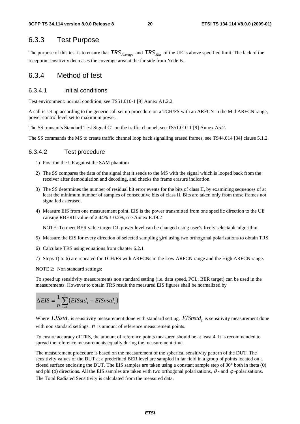### 6.3.3 Test Purpose

The purpose of this test is to ensure that *TRS Average* and *TRS Min* of the UE is above specified limit. The lack of the reception sensitivity decreases the coverage area at the far side from Node B.

#### 6.3.4 Method of test

#### 6.3.4.1 Initial conditions

Test environment: normal condition; see TS51.010-1 [9] Annex A1.2.2.

A call is set up according to the generic call set up procedure on a TCH/FS with an ARFCN in the Mid ARFCN range, power control level set to maximum power.

The SS transmits Standard Test Signal C1 on the traffic channel, see TS51.010-1 [9] Annex A5.2.

The SS commands the MS to create traffic channel loop back signalling erased frames, see TS44.014 [34] clause 5.1.2.

#### 6.3.4.2 Test procedure

- 1) Position the UE against the SAM phantom
- 2) The SS compares the data of the signal that it sends to the MS with the signal which is looped back from the receiver after demodulation and decoding, and checks the frame erasure indication.
- 3) The SS determines the number of residual bit error events for the bits of class II, by examining sequences of at least the minimum number of samples of consecutive bits of class II. Bits are taken only from those frames not signalled as erased.
- 4) Measure EIS from one measurement point. EIS is the power transmitted from one specific direction to the UE causing RBERII value of  $2.44\% \pm 0.2\%$ , see Annex E.19.2

NOTE: To meet BER value target DL power level can be changed using user's freely selectable algorithm.

- 5) Measure the EIS for every direction of selected sampling gird using two orthogonal polarizations to obtain TRS.
- 6) Calculate TRS using equations from chapter 6.2.1
- 7) Steps 1) to 6) are repeated for TCH/FS with ARFCNs in the Low ARFCN range and the High ARFCN range.
- NOTE 2: Non standard settings:

To speed up sensitivity measurements non standard setting (i.e. data speed, PCL, BER target) can be used in the measurements. However to obtain TRS result the measured EIS figures shall be normalized by

$$
\Delta \overline{EIS} = \frac{1}{n} \sum_{i=1}^{n} (EISstd_i - EISnstd_i)
$$

Where  $EISstd_i$  is sensitivity measurement done with standard setting.  $EISnstd_i$  is sensitivity measurement done with non standard settings. *n* is amount of reference measurement points.

To ensure accuracy of TRS, the amount of reference points measured should be at least 4. It is recommended to spread the reference measurements equally during the measurement time.

The measurement procedure is based on the measurement of the spherical sensitivity pattern of the DUT. The sensitivity values of the DUT at a predefined BER level are sampled in far field in a group of points located on a closed surface enclosing the DUT. The EIS samples are taken using a constant sample step of 30 $^{\circ}$  both in theta ( $\theta$ ) and phi (φ) directions. All the EIS samples are taken with two orthogonal polarizations,  $\theta$  - and  $\varphi$  -polarisations. The Total Radiated Sensitivity is calculated from the measured data.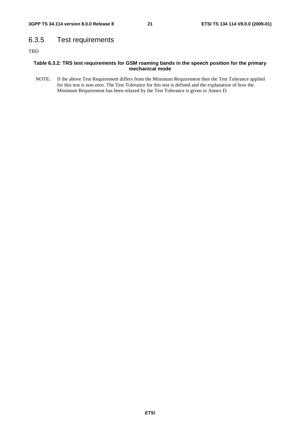### 6.3.5 Test requirements

TBD

#### **Table 6.3.2: TRS test requirements for GSM roaming bands in the speech position for the primary mechanical mode**

NOTE: If the above Test Requirement differs from the Minimum Requirement then the Test Tolerance applied for this test is non-zero. The Test Tolerance for this test is defined and the explanation of how the Minimum Requirement has been relaxed by the Test Tolerance is given in Annex D.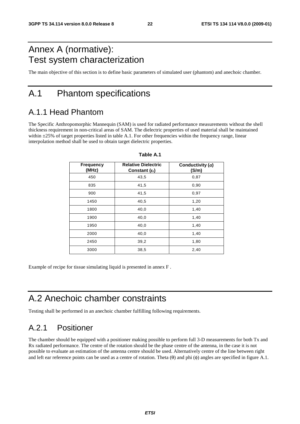## Annex A (normative): Test system characterization

The main objective of this section is to define basic parameters of simulated user (phantom) and anechoic chamber.

### A.1 Phantom specifications

### A.1.1 Head Phantom

The Specific Anthropomorphic Mannequin (SAM) is used for radiated performance measurements without the shell thickness requirement in non-critical areas of SAM. The dielectric properties of used material shall be maintained within  $\pm 25\%$  of target properties listed in table A.1. For other frequencies within the frequency range, linear interpolation method shall be used to obtain target dielectric properties.

| <b>Frequency</b><br>(MHz) | <b>Relative Dielectric</b><br>Constant $(\varepsilon_{r})$ | Conductivity $(\sigma)$<br>(S/m) |
|---------------------------|------------------------------------------------------------|----------------------------------|
| 450                       | 43,5                                                       | 0,87                             |
| 835                       | 41,5                                                       | 0,90                             |
| 900                       | 41,5                                                       | 0,97                             |
| 1450                      | 40,5                                                       | 1,20                             |
| 1800                      | 40,0                                                       | 1,40                             |
| 1900                      | 40,0                                                       | 1,40                             |
| 1950                      | 40,0                                                       | 1,40                             |
| 2000                      | 40,0                                                       | 1,40                             |
| 2450                      | 39,2                                                       | 1,80                             |
| 3000                      | 38,5                                                       | 2,40                             |

#### **Table A.1**

Example of recipe for tissue simulating liquid is presented in annex F .

## A.2 Anechoic chamber constraints

Testing shall be performed in an anechoic chamber fulfilling following requirements.

### A.2.1 Positioner

The chamber should be equipped with a positioner making possible to perform full 3-D measurements for both Tx and Rx radiated performance. The centre of the rotation should be the phase centre of the antenna, in the case it is not possible to evaluate an estimation of the antenna centre should be used. Alternatively centre of the line between right and left ear reference points can be used as a centre of rotation. Theta  $(\theta)$  and phi  $(\phi)$  angles are specified in figure A.1.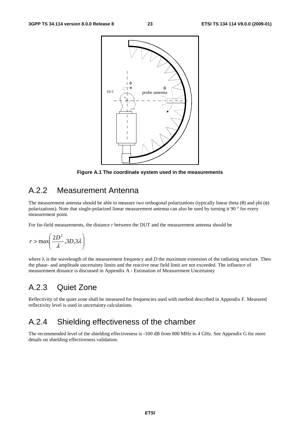

**Figure A.1 The coordinate system used in the measurements** 

### A.2.2 Measurement Antenna

The measurement antenna should be able to measure two orthogonal polarizations (typically linear theta  $(\theta)$  and phi  $(\phi)$ polarizations). Note that single-polarized linear measurement antenna can also be used by turning it 90 ° for every measurement point.

For far-field measurements, the distance *r* between the DUT and the measurement antenna should be

$$
r > \max\left(\frac{2D^2}{\lambda}, 3D, 3\lambda\right)
$$

where  $\lambda$  is the wavelength of the measurement frequency and *D* the maximum extension of the radiating structure. Then the phase- and amplitude uncertainty limits and the reactive near field limit are not exceeded. The influence of measurement distance is discussed in Appendix A - Estimation of Measurement Uncertainty

### A.2.3 Quiet Zone

Reflectivity of the quiet zone shall be measured for frequencies used with method described in Appendix F. Measured reflectivity level is used in uncertainty calculations.

### A.2.4 Shielding effectiveness of the chamber

The recommended level of the shielding effectiveness is -100 dB from 800 MHz to 4 GHz. See Appendix G for more details on shielding effectiveness validation.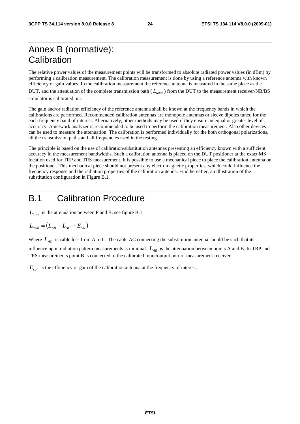## Annex B (normative): **Calibration**

The relative power values of the measurement points will be transformed to absolute radiated power values (in dBm) by performing a calibration measurement. The calibration measurement is done by using a reference antenna with known efficiency or gain values. In the calibration measurement the reference antenna is measured in the same place as the DUT, and the attenuation of the complete transmission path  $(L_{total})$  from the DUT to the measurement receiver/NB/BS simulator is calibrated out.

The gain and/or radiation efficiency of the reference antenna shall be known at the frequency bands in which the calibrations are performed. Recommended calibration antennas are monopole antennas or sleeve dipoles tuned for the each frequency band of interest. Alternatively, other methods may be used if they ensure an equal or greater level of accuracy. A network analyzer is recommended to be used to perform the calibration measurement. Also other devices can be used to measure the attenuation. The calibration is performed individually for the both orthogonal polarizations, all the transmission paths and all frequencies used in the testing.

The principle is based on the use of calibration/substitution antennas presenting an efficiency known with a sufficient accuracy in the measurement bandwidths. Such a calibration antenna is placed on the DUT positioner at the exact MS location used for TRP and TRS measurement. It is possible to use a mechanical piece to place the calibration antenna on the positioner. This mechanical piece should not present any electromagnetic properties, which could influence the frequency response and the radiation properties of the calibration antenna. Find hereafter, an illustration of the substitution configuration in Figure B.1.

## B.1 Calibration Procedure

 $L_{total}$  is the attenuation between P and B, see figure B.1.

$$
L_{\text{total}} = (L_{AB} - L_{AC} + E_{cal})
$$

Where  $L_{AC}$  is cable loss from A to C. The cable AC connecting the substitution antenna should be such that its

influence upon radiation pattern measurements is minimal.  $L_{AB}$  is the attenuation between points A and B. In TRP and TRS measurements point B is connected to the calibrated input/output port of measurement receiver.

 $E_{cd}$  is the efficiency or gain of the calibration antenna at the frequency of interest.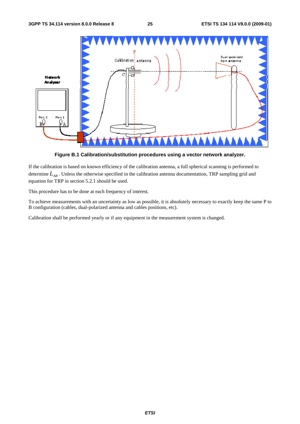

**Figure B.1 Calibration/substitution procedures using a vector network analyzer.** 

If the calibration is based on known efficiency of the calibration antenna, a full spherical scanning is performed to determine  $L_{AB}$ . Unless the otherwise specified in the calibration antenna documentation, TRP sampling grid and equation for TRP in section 5.2.1 should be used.

This procedure has to be done at each frequency of interest.

To achieve measurements with an uncertainty as low as possible, it is absolutely necessary to exactly keep the same P to B configuration (cables, dual-polarized antenna and cables positions, etc).

Calibration shall be performed yearly or if any equipment in the measurement system is changed.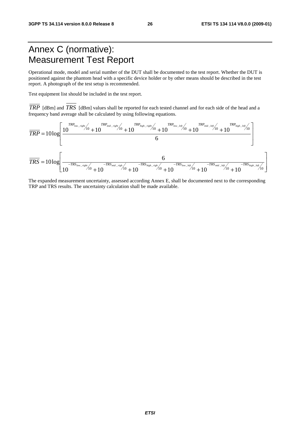## Annex C (normative): Measurement Test Report

Operational mode, model and serial number of the DUT shall be documented to the test report. Whether the DUT is positioned against the phantom head with a specific device holder or by other means should be described in the test report. A photograph of the test setup is recommended.

Test equipment list should be included in the test report.

*TRP* [dBm] and *TRS* [dBm] values shall be reported for each tested channel and for each side of the head and a frequency band average shall be calculated by using following equations.

$$
\overline{TRP} = 10\log\left[\frac{10^{\frac{TRP_{\text{low\_right}}}{10} + 10} + 10^{\frac{TRP_{\text{high\_right}}}{10} + 10} + 10^{\frac{TRP_{\text{high\_right}}}{10} + 10} + 10^{\frac{TRP_{\text{low\_left}}}{10} + 10} + 10^{\frac{TRP_{\text{high\_left}}}{10} + 10} + 10^{\frac{TRP_{\text{high\_left}}}{10} + 10} + 10^{\frac{TRP_{\text{high\_left}}}{10} + 10} + 10^{\frac{TRP_{\text{high\_left}}}{10} + 10} + 10^{\frac{TRP_{\text{high\_left}}}{10} + 10} + 10^{\frac{TRP_{\text{high\_left}}}{10} + 10} + 10^{\frac{TRP_{\text{high\_left}}}{10} + 10} + 10^{\frac{TRP_{\text{high\_left}}}{10} + 10} + 10^{\frac{TRP_{\text{high\_left}}}{10} + 10} + 10^{\frac{TRP_{\text{high\_left}}}{10} + 10} + 10^{\frac{TRP_{\text{high\_left}}}{10} + 10} + 10^{\frac{TRP_{\text{high\_left}}}{10} + 10} + 10^{\frac{TRP_{\text{high\_left}}}{10} + 10} + 10^{\frac{TRP_{\text{high\_left}}}{10} + 10} + 10^{\frac{TRP_{\text{high\_left}}}{10} + 10} + 10^{\frac{TRP_{\text{high\_left}}}{10} + 10} + 10^{\frac{TRP_{\text{high\_left}}}{10} + 10} + 10^{\frac{TRP_{\text{high\_left}}}{10} + 10} + 10^{\frac{TRP_{\text{high\_left}}}{10} + 10} + 10^{\frac{TRP_{\text{high\_left}}}{10} + 10^{\frac{TRP_{\text{high\_left}}}{10} + 10} + 10^{\frac{TRP_{\text{high\_left}}}{10} + 10^{\frac{TRP_{\text{high\_left}}}{10} + 10} + 10^{\frac{TRP_{\text{high\_left}}}{10} + 1
$$

The expanded measurement uncertainty, assessed according Annex E, shall be documented next to the corresponding TRP and TRS results. The uncertainty calculation shall be made available.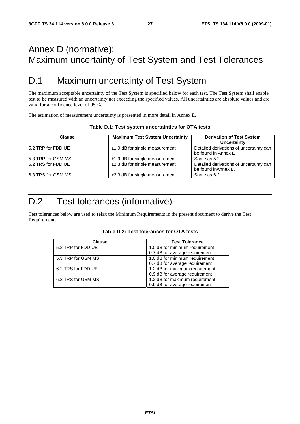## Annex D (normative): Maximum uncertainty of Test System and Test Tolerances

## D.1 Maximum uncertainty of Test System

The maximum acceptable uncertainty of the Test System is specified below for each test. The Test System shall enable test to be measured with an uncertainty not exceeding the specified values. All uncertainties are absolute values and are valid for a confidence level of 95 %.

The estimation of measurement uncertainty is presented in more detail in Annex E.

| <b>Clause</b>      | <b>Maximum Test System Uncertainty</b> | <b>Derivation of Test System</b>        |
|--------------------|----------------------------------------|-----------------------------------------|
|                    |                                        | Uncertainty                             |
| 5.2 TRP for FDD UE | $±1.9$ dB for single measurement       | Detailed derivations of uncertainty can |
|                    |                                        | be found in Annex E                     |
| 5.3 TRP for GSM MS | $±1.9$ dB for single measurement       | Same as 5.2                             |
| 6.2 TRS for FDD UE | $±2.3$ dB for single measurement       | Detailed derivations of uncertainty can |
|                    |                                        | be found in Annex E.                    |
| 6.3 TRS for GSM MS | $±2.3$ dB for single measurement       | Same as 6.2                             |

#### **Table D.1: Test system uncertainties for OTA tests**

## D.2 Test tolerances (informative)

Test tolerances below are used to relax the Minimum Requirements in the present document to derive the Test Requirements.

|  | Table D.2: Test tolerances for OTA tests |  |
|--|------------------------------------------|--|
|--|------------------------------------------|--|

| <b>Clause</b>      | <b>Test Tolerance</b>          |
|--------------------|--------------------------------|
| 5.2 TRP for FDD UE | 1.0 dB for minimum requirement |
|                    | 0.7 dB for average requirement |
| 5.3 TRP for GSM MS | 1.0 dB for minimum requirement |
|                    | 0.7 dB for average requirement |
| 6.2 TRS for FDD UE | 1.2 dB for maximum requirement |
|                    | 0.9 dB for average requirement |
| 6.3 TRS for GSM MS | 1.2 dB for maximum requirement |
|                    | 0.9 dB for average requirement |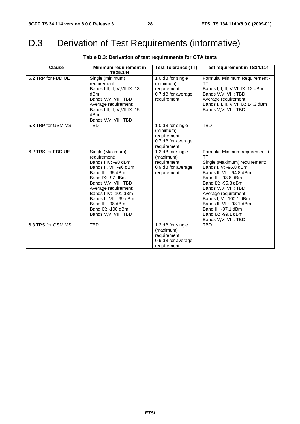# D.3 Derivation of Test Requirements (informative)

| <b>Clause</b>      | Minimum requirement in                                                                                                                                                                                                                                                                                | <b>Test Tolerance (TT)</b>                                                         | <b>Test requirement in TS34.114</b>                                                                                                                                                                                                                                                                                                                     |
|--------------------|-------------------------------------------------------------------------------------------------------------------------------------------------------------------------------------------------------------------------------------------------------------------------------------------------------|------------------------------------------------------------------------------------|---------------------------------------------------------------------------------------------------------------------------------------------------------------------------------------------------------------------------------------------------------------------------------------------------------------------------------------------------------|
|                    | TS25.144                                                                                                                                                                                                                                                                                              |                                                                                    |                                                                                                                                                                                                                                                                                                                                                         |
| 5.2 TRP for FDD UE | Single (minimum)<br>requirement:<br>Bands I, II, III, IV, VII, IX: 13<br>dBm<br>Bands V, VI, VIII: TBD<br>Average requirement:<br>Bands I, II, III, IV, VII, IX: 15<br>dB <sub>m</sub><br>Bands V, VI, VIII: TBD                                                                                      | 1.0 dB for single<br>(minimum)<br>requirement<br>0.7 dB for average<br>requirement | Formula: Minimum Requirement -<br>тт<br>Bands I, II, III, IV, VII, IX: 12 dBm<br>Bands V, VI, VIII: TBD<br>Average requirement:<br>Bands I, II, III, IV, VII, IX: 14.3 dBm<br>Bands V, VI, VIII: TBD                                                                                                                                                    |
| 5.3 TRP for GSM MS | <b>TBD</b>                                                                                                                                                                                                                                                                                            | 1.0 dB for single<br>(minimum)<br>requirement<br>0.7 dB for average<br>requirement | <b>TBD</b>                                                                                                                                                                                                                                                                                                                                              |
| 6.2 TRS for FDD UE | Single (Maximum)<br>requirement:<br>Bands I, IV: -98 dBm<br>Bands II, VII: -96 dBm<br>Band III: -95 dBm<br>Band IX: -97 dBm<br>Bands V, VI, VIII: TBD<br>Average requirement:<br>Bands I, IV: - 101 dBm<br>Bands II, VII: -99 dBm<br>Band III: -98 dBm<br>Band IX: -100 dBm<br>Bands V, VI, VIII: TBD | 1.2 dB for single<br>(maximum)<br>requirement<br>0.9 dB for average<br>requirement | Formula: Minimum requirement +<br>TТ<br>Single (Maximum) requirement:<br>Bands I,IV: -96.8 dBm<br>Bands II, VII: -94.8 dBm<br>Band III: -93.8 dBm<br>Band IX: -95.8 dBm<br>Bands V, VI, VIII: TBD<br>Average requirement:<br>Bands I, IV: -100.1 dBm<br>Bands II, VII: -98.1 dBm<br>Band III: -97.1 dBm<br>Band IX: -99.1 dBm<br>Bands V, VI, VIII: TBD |
| 6.3 TRS for GSM MS | <b>TBD</b>                                                                                                                                                                                                                                                                                            | 1.2 dB for single<br>(maximum)<br>requirement<br>0.9 dB for average<br>requirement | <b>TBD</b>                                                                                                                                                                                                                                                                                                                                              |

### **Table D.3: Derivation of test requirements for OTA tests**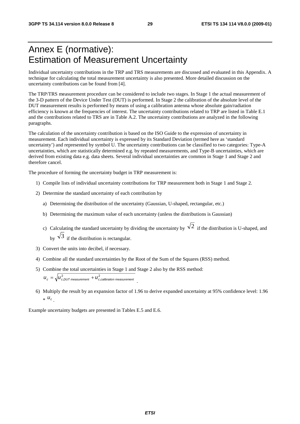## Annex E (normative): Estimation of Measurement Uncertainty

Individual uncertainty contributions in the TRP and TRS measurements are discussed and evaluated in this Appendix. A technique for calculating the total measurement uncertainty is also presented. More detailed discussion on the uncertainty contributions can be found from [4].

The TRP/TRS measurement procedure can be considered to include two stages. In Stage 1 the actual measurement of the 3-D pattern of the Device Under Test (DUT) is performed. In Stage 2 the calibration of the absolute level of the DUT measurement results is performed by means of using a calibration antenna whose absolute gain/radiation efficiency is known at the frequencies of interest. The uncertainty contributions related to TRP are listed in Table E.1 and the contributions related to TRS are in Table A.2. The uncertainty contributions are analyzed in the following paragraphs.

The calculation of the uncertainty contribution is based on the ISO Guide to the expression of uncertainty in measurement. Each individual uncertainty is expressed by its Standard Deviation (termed here as 'standard uncertainty') and represented by symbol U. The uncertainty contributions can be classified to two categories: Type-A uncertainties, which are statistically determined e.g. by repeated measurements, and Type-B uncertainties, which are derived from existing data e.g. data sheets. Several individual uncertainties are common in Stage 1 and Stage 2 and therefore cancel.

The procedure of forming the uncertainty budget in TRP measurement is:

- 1) Compile lists of individual uncertainty contributions for TRP measurement both in Stage 1 and Stage 2.
- 2) Determine the standard uncertainty of each contribution by
	- a) Determining the distribution of the uncertainty (Gaussian, U-shaped, rectangular, etc.)
	- b) Determining the maximum value of each uncertainty (unless the distributions is Gaussian)
	- c) Calculating the standard uncertainty by dividing the uncertainty by  $\sqrt{2}$  if the distribution is U-shaped, and by  $\sqrt{3}$  if the distribution is rectangular.
- 3) Convert the units into decibel, if necessary.
- 4) Combine all the standard uncertainties by the Root of the Sum of the Squares (RSS) method.
- 5) Combine the total uncertainties in Stage 1 and Stage 2 also by the RSS method:  $u_c = \sqrt{u_{c,DUT\ measurement}^2 + u_{c,calibration\ measurement}^2}$
- 6) Multiply the result by an expansion factor of 1.96 to derive expanded uncertainty at 95% confidence level: 1.96  $*$   $u_c$

Example uncertainty budgets are presented in Tables E.5 and E.6.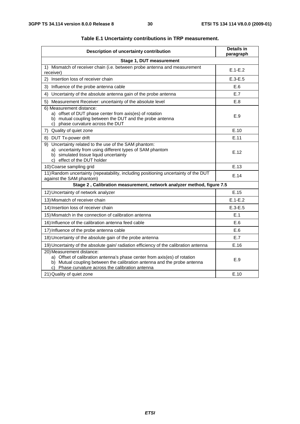| Description of uncertainty contribution                                                                                                                                                                                                 | <b>Details in</b><br>paragraph |
|-----------------------------------------------------------------------------------------------------------------------------------------------------------------------------------------------------------------------------------------|--------------------------------|
| Stage 1, DUT measurement                                                                                                                                                                                                                |                                |
| 1) Mismatch of receiver chain (i.e. between probe antenna and measurement<br>receiver)                                                                                                                                                  | $E.1-E.2$                      |
| 2) Insertion loss of receiver chain                                                                                                                                                                                                     | $E.3-E.5$                      |
| 3)<br>Influence of the probe antenna cable                                                                                                                                                                                              | E.6                            |
| Uncertainty of the absolute antenna gain of the probe antenna<br>4)                                                                                                                                                                     | E.7                            |
| Measurement Receiver: uncertainty of the absolute level<br>5)                                                                                                                                                                           | E.8                            |
| 6) Measurement distance:<br>a) offset of DUT phase center from axis(es) of rotation<br>b) mutual coupling between the DUT and the probe antenna<br>c) phase curvature across the DUT                                                    | E.9                            |
| 7) Quality of quiet zone                                                                                                                                                                                                                | E.10                           |
| 8) DUT Tx-power drift                                                                                                                                                                                                                   | E.11                           |
| 9) Uncertainty related to the use of the SAM phantom:<br>a) uncertainty from using different types of SAM phantom<br>b) simulated tissue liquid uncertainty<br>c) effect of the DUT holder                                              | E.12                           |
| 10) Coarse sampling grid                                                                                                                                                                                                                | E.13                           |
| 11) Random uncertainty (repeatability, including positioning uncertainty of the DUT<br>against the SAM phantom)                                                                                                                         | E.14                           |
| Stage 2, Calibration measurement, network analyzer method, figure 7.5                                                                                                                                                                   |                                |
| 12) Uncertainty of network analyzer                                                                                                                                                                                                     | E.15                           |
| 13) Mismatch of receiver chain                                                                                                                                                                                                          | $E.1-E.2$                      |
| 14) Insertion loss of receiver chain                                                                                                                                                                                                    | $E.3-E.5$                      |
| 15) Mismatch in the connection of calibration antenna                                                                                                                                                                                   | E.1                            |
| 16) Influence of the calibration antenna feed cable                                                                                                                                                                                     | E.6                            |
| 17) Influence of the probe antenna cable                                                                                                                                                                                                | E.6                            |
| 18) Uncertainty of the absolute gain of the probe antenna                                                                                                                                                                               | E.7                            |
| 19) Uncertainty of the absolute gain/ radiation efficiency of the calibration antenna                                                                                                                                                   | E.16                           |
| 20) Measurement distance:<br>a) Offset of calibration antenna's phase center from axis(es) of rotation<br>b) Mutual coupling between the calibration antenna and the probe antenna<br>c) Phase curvature across the calibration antenna | E.9                            |
| 21) Quality of quiet zone                                                                                                                                                                                                               | E.10                           |

#### **Table E.1 Uncertainty contributions in TRP measurement.**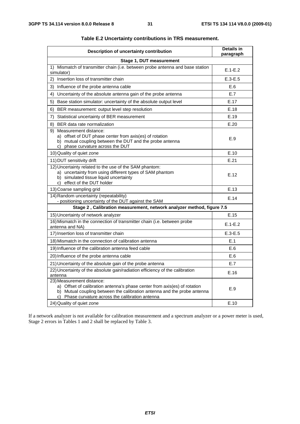| Description of uncertainty contribution                                                                                                                                                                                                 | Details in<br>paragraph |
|-----------------------------------------------------------------------------------------------------------------------------------------------------------------------------------------------------------------------------------------|-------------------------|
| Stage 1, DUT measurement                                                                                                                                                                                                                |                         |
| 1) Mismatch of transmitter chain (i.e. between probe antenna and base station<br>simulator)                                                                                                                                             | $E.1-E.2$               |
| Insertion loss of transmitter chain<br>2)                                                                                                                                                                                               | $E.3-E.5$               |
| 3)<br>Influence of the probe antenna cable                                                                                                                                                                                              | E.6                     |
| 4)<br>Uncertainty of the absolute antenna gain of the probe antenna                                                                                                                                                                     | E.7                     |
| 5)<br>Base station simulator: uncertainty of the absolute output level                                                                                                                                                                  | E.17                    |
| 6)<br>BER measurement: output level step resolution                                                                                                                                                                                     | E.18                    |
| Statistical uncertainty of BER measurement<br>7)                                                                                                                                                                                        | E.19                    |
| 8) BER data rate normalization                                                                                                                                                                                                          | E.20                    |
| 9) Measurement distance:<br>a) offset of DUT phase center from axis(es) of rotation<br>b) mutual coupling between the DUT and the probe antenna<br>c) phase curvature across the DUT                                                    | E.9                     |
| 10) Quality of quiet zone                                                                                                                                                                                                               | E.10                    |
| 11) DUT sensitivity drift                                                                                                                                                                                                               | E.21                    |
| 12) Uncertainty related to the use of the SAM phantom:<br>a) uncertainty from using different types of SAM phantom<br>b) simulated tissue liquid uncertainty<br>c) effect of the DUT holder                                             | E.12                    |
| 13) Coarse sampling grid                                                                                                                                                                                                                | E.13                    |
| 14) Random uncertainty (repeatability)<br>- positioning uncertainty of the DUT against the SAM                                                                                                                                          | E.14                    |
| Stage 2, Calibration measurement, network analyzer method, figure 7.5                                                                                                                                                                   |                         |
| 15) Uncertainty of network analyzer                                                                                                                                                                                                     | E.15                    |
| 16) Mismatch in the connection of transmitter chain (i.e. between probe<br>antenna and NA)                                                                                                                                              | $E.1-E.2$               |
| 17) Insertion loss of transmitter chain                                                                                                                                                                                                 | $E.3-E.5$               |
| 18) Mismatch in the connection of calibration antenna                                                                                                                                                                                   | E.1                     |
| 19) Influence of the calibration antenna feed cable                                                                                                                                                                                     | E.6                     |
| 20) Influence of the probe antenna cable                                                                                                                                                                                                | E.6                     |
| 21) Uncertainty of the absolute gain of the probe antenna                                                                                                                                                                               | E.7                     |
| 22) Uncertainty of the absolute gain/radiation efficiency of the calibration<br>antenna                                                                                                                                                 | E.16                    |
| 23) Measurement distance:<br>a) Offset of calibration antenna's phase center from axis(es) of rotation<br>b) Mutual coupling between the calibration antenna and the probe antenna<br>c) Phase curvature across the calibration antenna | E.9                     |
| 24) Quality of quiet zone                                                                                                                                                                                                               | E.10                    |

#### **Table E.2 Uncertainty contributions in TRS measurement.**

If a network analyzer is not available for calibration measurement and a spectrum analyzer or a power meter is used, Stage 2 errors in Tables 1 and 2 shall be replaced by Table 3.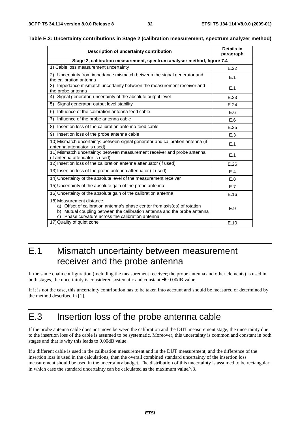| Description of uncertainty contribution                                                                                                                                                                                                    | <b>Details in</b><br>paragraph |  |  |  |  |  |
|--------------------------------------------------------------------------------------------------------------------------------------------------------------------------------------------------------------------------------------------|--------------------------------|--|--|--|--|--|
| Stage 2, calibration measurement, spectrum analyser method, figure 7.4                                                                                                                                                                     |                                |  |  |  |  |  |
| 1) Cable loss measurement uncertainty                                                                                                                                                                                                      | E.22                           |  |  |  |  |  |
| 2) Uncertainty from impedance mismatch between the signal generator and<br>the calibration antenna                                                                                                                                         | E.1                            |  |  |  |  |  |
| Impedance mismatch uncertainty between the measurement receiver and<br>3)<br>the probe antenna                                                                                                                                             | E.1                            |  |  |  |  |  |
| Signal generator: uncertainty of the absolute output level<br>4)                                                                                                                                                                           | E.23                           |  |  |  |  |  |
| Signal generator: output level stability<br>5)                                                                                                                                                                                             | E.24                           |  |  |  |  |  |
| Influence of the calibration antenna feed cable<br>6)                                                                                                                                                                                      | E.6                            |  |  |  |  |  |
| 7)<br>Influence of the probe antenna cable                                                                                                                                                                                                 | E.6                            |  |  |  |  |  |
| Insertion loss of the calibration antenna feed cable<br>8)                                                                                                                                                                                 | E.25                           |  |  |  |  |  |
| Insertion loss of the probe antenna cable<br>9)                                                                                                                                                                                            | E.3                            |  |  |  |  |  |
| 10) Mismatch uncertainty: between signal generator and calibration antenna (if<br>antenna attenuator is used)                                                                                                                              | E.1                            |  |  |  |  |  |
| 11) Mismatch uncertainty: between measurement receiver and probe antenna<br>(if antenna attenuator is used)                                                                                                                                | E.1                            |  |  |  |  |  |
| 12) Insertion loss of the calibration antenna attenuator (if used)                                                                                                                                                                         | E.26                           |  |  |  |  |  |
| 13) Insertion loss of the probe antenna attenuator (if used)                                                                                                                                                                               | E.4                            |  |  |  |  |  |
| 14) Uncertainty of the absolute level of the measurement receiver                                                                                                                                                                          | E.8                            |  |  |  |  |  |
| 15) Uncertainty of the absolute gain of the probe antenna                                                                                                                                                                                  | E.7                            |  |  |  |  |  |
| 16) Uncertainty of the absolute gain of the calibration antenna                                                                                                                                                                            | E.16                           |  |  |  |  |  |
| 18) Measurement distance:<br>Offset of calibration antenna's phase center from axis(es) of rotation<br>a)<br>b) Mutual coupling between the calibration antenna and the probe antenna<br>c) Phase curvature across the calibration antenna | E.9                            |  |  |  |  |  |
| 17) Quality of quiet zone                                                                                                                                                                                                                  | E.10                           |  |  |  |  |  |

|  |  | Table E.3: Uncertainty contributions in Stage 2 (calibration measurement, spectrum analyzer method) |  |  |  |  |  |  |
|--|--|-----------------------------------------------------------------------------------------------------|--|--|--|--|--|--|
|--|--|-----------------------------------------------------------------------------------------------------|--|--|--|--|--|--|

## E.1 Mismatch uncertainty between measurement receiver and the probe antenna

If the same chain configuration (including the measurement receiver; the probe antenna and other elements) is used in both stages, the uncertainty is considered systematic and constant  $\rightarrow 0.00$ dB value.

If it is not the case, this uncertainty contribution has to be taken into account and should be measured or determined by the method described in [1].

## E.3 Insertion loss of the probe antenna cable

If the probe antenna cable does not move between the calibration and the DUT measurement stage, the uncertainty due to the insertion loss of the cable is assumed to be systematic. Moreover, this uncertainty is common and constant in both stages and that is why this leads to 0.00dB value.

If a different cable is used in the calibration measurement and in the DUT measurement, and the difference of the insertion loss is used in the calculations, then the overall combined standard uncertainty of the insertion loss measurement should be used in the uncertainty budget. The distribution of this uncertainty is assumed to be rectangular, in which case the standard uncertainty can be calculated as the maximum value/ $\sqrt{3}$ .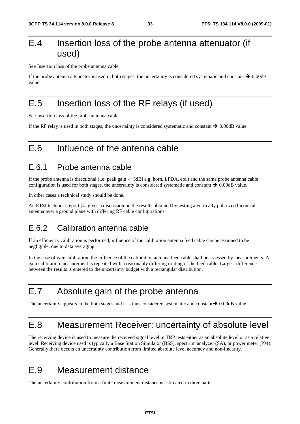## E.4 Insertion loss of the probe antenna attenuator (if used)

See Insertion loss of the probe antenna cable

If the probe antenna attenuator is used in both stages, the uncertainty is considered systematic and constant  $\rightarrow 0.00$ dB value.

## E.5 Insertion loss of the RF relays (if used)

See Insertion loss of the probe antenna cable.

If the RF relay is used in both stages, the uncertainty is considered systematic and constant  $\rightarrow 0.00$ dB value.

## E.6 Influence of the antenna cable

### E.6.1 Probe antenna cable

If the probe antenna is directional (i.e. peak gain >+5dBi e.g. horn, LPDA, etc.) and the same probe antenna cable configuration is used for both stages, the uncertainty is considered systematic and constant  $\rightarrow 0.00$ dB value.

In other cases a technical study should be done.

An ETSI technical report [4] gives a discussion on the results obtained by testing a vertically polarized biconical antenna over a ground plane with differing RF cable configurations.

### E.6.2 Calibration antenna cable

If an efficiency calibration is performed, influence of the calibration antenna feed cable can be assumed to be negligible, due to data averaging.

In the case of gain calibration, the influence of the calibration antenna feed cable shall be assessed by measurements. A gain calibration measurement is repeated with a reasonably differing routing of the feed cable. Largest difference between the results is entered to the uncertainty budget with a rectangular distribution.

### E.7 Absolute gain of the probe antenna

The uncertainty appears in the both stages and it is thus considered systematic and constant  $\rightarrow 0.00$ dB value.

## E.8 Measurement Receiver: uncertainty of absolute level

The receiving device is used to measure the received signal level in TRP tests either as an absolute level or as a relative level. Receiving device used is typically a Base Station Simulator (BSS), spectrum analyzer (SA), or power meter (PM). Generally there occurs an uncertainty contribution from limited absolute level accuracy and non-linearity.

### E.9 Measurement distance

The uncertainty contribution from a finite measurement distance is estimated in three parts.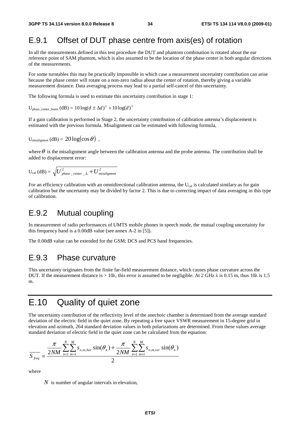## E.9.1 Offset of DUT phase centre from axis(es) of rotation

In all the measurements defined in this test procedure the DUT and phantom combination is rotated about the ear reference point of SAM phantom, which is also assumed to be the location of the phase center in both angular directions of the measurements.

For some turntables this may be practically impossible in which case a measurement uncertainty contribution can arise because the phase center will rotate on a non-zero radius about the center of rotation, thereby giving a variable measurement distance. Data averaging process may lead to a partial self-cancel of this uncertainty.

The following formula is used to estimate this uncertainty contribution in stage 1:

 $U_{\text{phase}}$  center\_limits  $(dB) = 10 \log(d \pm \Delta d)^2 + 10 \log(d)^2$ 

If a gain calibration is performed in Stage 2, the uncertainty contribution of calibration antenna's displacement is estimated with the previous formula. Misalignment can be estimated with following formula,

$$
U_{misalignment} (dB) = 20 log(cos \theta) ,
$$

where  $\theta$  is the misalignment angle between the calibration antenna and the probe antenna. The contribution shall be added to displacement error:

$$
U_{cal} (dB) = \sqrt{U_{phase\_center\_}^{2} + U_{misalignment}^{2}}
$$

For an efficiency calibration with an omnidirectional calibration antenna, the  $U_{\text{cal}}$  is calculated similary as for gain calibration but the uncertainty may be divided by factor 2. This is due to correcting impact of data averaging in this type of calibration.

### E.9.2 Mutual coupling

In measurement of radio performances of UMTS mobile phones in speech mode, the mutual coupling uncertainty for this frequency band is a 0.00dB value (see annex A-2 in [5]).

The 0.00dB value can be extended for the GSM; DCS and PCS band frequencies.

### E.9.3 Phase curvature

This uncertainty originates from the finite far-field measurement distance, which causes phase curvature across the DUT. If the measurement distance is  $> 10\lambda$ , this error is assumed to be negligible. At 2 GHz  $\lambda$  is 0.15 m, thus 10 $\lambda$  is 1.5 m.

### E.10 Quality of quiet zone

The uncertainty contribution of the reflectivity level of the anechoic chamber is determined from the average standard deviation of the electric field in the quiet zone. By repeating a free space VSWR measurement in 15-degree grid in elevation and azimuth, 264 standard deviation values in both polarizations are determined. From these values average standard deviation of electric field in the quiet zone can be calculated from the equation:

$$
\frac{\pi}{S_{freq}} = \frac{\frac{\pi}{2NM} \sum_{n=1}^{N} \sum_{m=1}^{M} s_{n,m,hor} \sin(\theta_n) + \frac{\pi}{2NM} \sum_{n=1}^{N} \sum_{m=1}^{M} s_{n,m,ver} \sin(\theta_n)}{2}
$$

where

*N* is number of angular intervals in elevation,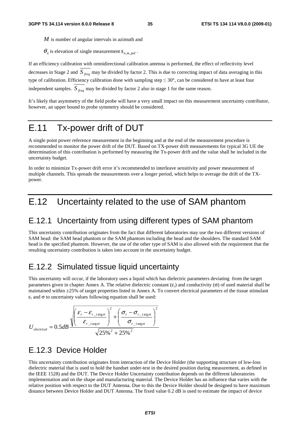- *M* is number of angular intervals in azimuth and
- $\theta_n$  is elevation of single measurement  $S_{n,m,pol}$ .

If an efficiency calibration with omnidirectional calibration antenna is performed, the effect of reflectivity level decreases in Stage 2 and *S freq* may be divided by factor 2. This is due to correcting impact of data averaging in this type of calibration. Efficiency calibration done with sampling step  $\leq 30^{\circ}$ , can be considered to have at least four independent samples. *S freq* may be divided by factor 2 also in stage 1 for the same reason.

It's likely that asymmetry of the field probe will have a very small impact on this measurement uncertainty contributor, however, an upper bound to probe symmetry should be considered.

## E.11 Tx-power drift of DUT

A single point power reference measurement in the beginning and at the end of the measurement procedure is recommended to monitor the power drift of the DUT. Based on TX-power drift measurements for typical 3G UE the determination of this contribution is performed by measuring the Tx-power drift and the value shall be included in the uncertainty budget.

In order to minimize Tx-power drift error it's recommended to interleave sensitivity and power measurement of multiple channels. This spreads the measurements over a longer period, which helps to average the drift of the TXpower.

## E.12 Uncertainty related to the use of SAM phantom

### E.12.1 Uncertainty from using different types of SAM phantom

This uncertainty contribution originates from the fact that different laboratories may use the two different versions of SAM head: the SAM head phantom or the SAM phantom including the head and the shoulders. The standard SAM head is the specified phantom. However, the use of the other type of SAM is also allowed with the requirement that the resulting uncertainty contribution is taken into account in the uncertainty budget.

### E.12.2 Simulated tissue liquid uncertainty

This uncertainty will occur, if the laboratory uses a liquid which has dielectric parameters deviating from the target parameters given in chapter Annex A. The relative dielectric constant  $(\varepsilon_r)$  and conductivity ( $\sigma$ ) of used material shall be maintained within  $\pm 25\%$  of target properties listed in Annex A. To convert electrical parameters of the tissue stimulant  $\varepsilon_r$  and  $\sigma$  to uncertainty values following equation shall be used:

$$
U_{electrical} = 0.5 dB \frac{\sqrt{\left(\frac{\varepsilon_r - \varepsilon_{r\_target}}{\varepsilon_{r\_target}}\right)^2 + \left(\frac{\sigma_r - \sigma_{r\_target}}{\sigma_{r\_target}}\right)^2}}{\sqrt{25\%^2 + 25\%^2}}
$$

### E.12.3 Device Holder

This uncertainty contribution originates from interaction of the Device Holder (the supporting structure of low-loss dielectric material that is used to hold the handset under-test in the desired position during measurement, as defined in the IEEE 1528) and the DUT. The Device Holder Uncertainty contribution depends on the different laboratories implementation and on the shape and manufacturing material. The Device Holder has an influence that varies with the relative position with respect to the DUT Antenna. Due to this the Device Holder should be designed to have maximum distance between Device Holder and DUT Antenna. The fixed value 0.2 dB is used to estimate the impact of device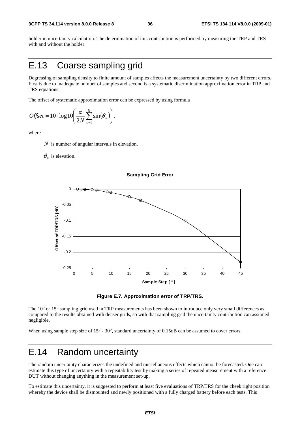holder in uncertainty calculation. The determination of this contribution is performed by measuring the TRP and TRS with and without the holder.

## E.13 Coarse sampling grid

Degreasing of sampling density to finite amount of samples affects the measurement uncertainty by two different errors. First is due to inadequate number of samples and second is a systematic discrimination approximation error in TRP and TRS equations.

The offset of systematic approximation error can be expressed by using formula

$$
Offset = 10 \cdot \log 10 \left( \frac{\pi}{2N} \sum_{n=1}^{N} \sin(\theta_n) \right).
$$

where

*N* is number of angular intervals in elevation,

#### $\theta_n$  is elevation.



#### **Sampling Grid Error**



The 10° or 15° sampling grid used in TRP measurements has been shown to introduce only very small differences as compared to the results obtained with denser grids, so with that sampling grid the uncertainty contribution can assumed negligible.

When using sample step size of  $15^{\circ}$  - 30°, standard uncertainty of 0.15dB can be assumed to cover errors.

### E.14 Random uncertainty

The random uncertainty characterizes the undefined and miscellaneous effects which cannot be forecasted. One can estimate this type of uncertainty with a repeatability test by making a series of repeated measurement with a reference DUT without changing anything in the measurement set-up.

To estimate this uncertainty, it is suggested to perform at least five evaluations of TRP/TRS for the cheek right position whereby the device shall be dismounted and newly positioned with a fully charged battery before each tests. This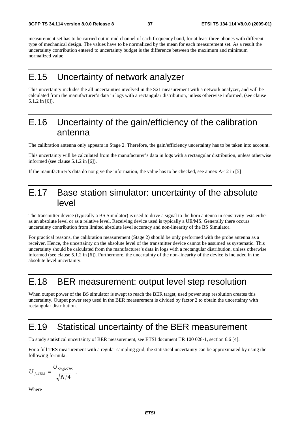measurement set has to be carried out in mid channel of each frequency band, for at least three phones with different type of mechanical design. The values have to be normalized by the mean for each measurement set. As a result the uncertainty contribution entered to uncertainty budget is the difference between the maximum and minimum normalized value.

## E.15 Uncertainty of network analyzer

This uncertainty includes the all uncertainties involved in the S21 measurement with a network analyzer, and will be calculated from the manufacturer's data in logs with a rectangular distribution, unless otherwise informed, (see clause 5.1.2 in [6]).

## E.16 Uncertainty of the gain/efficiency of the calibration antenna

The calibration antenna only appears in Stage 2. Therefore, the gain/efficiency uncertainty has to be taken into account.

This uncertainty will be calculated from the manufacturer's data in logs with a rectangular distribution, unless otherwise informed (see clause 5.1.2 in [6]).

If the manufacturer's data do not give the information, the value has to be checked, see annex A-12 in [5]

## E.17 Base station simulator: uncertainty of the absolute level

The transmitter device (typically a BS Simulator) is used to drive a signal to the horn antenna in sensitivity tests either as an absolute level or as a relative level. Receiving device used is typically a UE/MS. Generally there occurs uncertainty contribution from limited absolute level accuracy and non-linearity of the BS Simulator.

For practical reasons, the calibration measurement (Stage 2) should be only performed with the probe antenna as a receiver. Hence, the uncertainty on the absolute level of the transmitter device cannot be assumed as systematic. This uncertainty should be calculated from the manufacturer's data in logs with a rectangular distribution, unless otherwise informed (see clause 5.1.2 in [6]). Furthermore, the uncertainty of the non-linearity of the device is included in the absolute level uncertainty.

## E.18 BER measurement: output level step resolution

When output power of the BS simulator is swept to reach the BER target, used power step resolution creates this uncertainty. Output power step used in the BER measurement is divided by factor 2 to obtain the uncertainty with rectangular distribution.

## E.19 Statistical uncertainty of the BER measurement

To study statistical uncertainty of BER measurement, see ETSI document TR 100 028-1, section 6.6 [4].

For a full TRS measurement with a regular sampling grid, the statistical uncertainty can be approximated by using the following formula:

$$
U_{\text{fullTRS}} = \frac{U_{\text{SingleTRS}}}{\sqrt{N/4}}\,,
$$

Where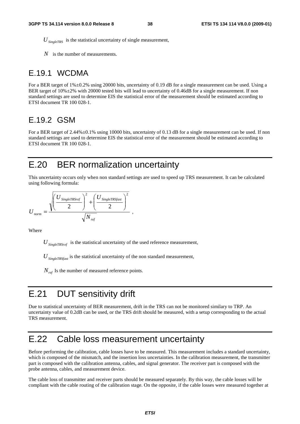$U_{SinelcTRS}$  is the statistical uncertainty of single measurement,

*N* is the number of measurements.

### E.19.1 WCDMA

For a BER target of  $1\% \pm 0.2\%$  using 20000 bits, uncertainty of 0.19 dB for a single measurement can be used. Using a BER target of 10%±2% with 20000 tested bits will lead to uncertainty of 0.46dB for a single measurement. If non standard settings are used to determine EIS the statistical error of the measurement should be estimated according to ETSI document TR 100 028-1.

### E.19.2 GSM

For a BER target of 2.44% $\pm$ 0.1% using 10000 bits, uncertainty of 0.13 dB for a single measurement can be used. If non standard settings are used to determine EIS the statistical error of the measurement should be estimated according to ETSI document TR 100 028-1.

## E.20 BER normalization uncertainty

This uncertainty occurs only when non standard settings are used to speed up TRS measurement. It can be calculated using following formula:

$$
U_{norm} = \frac{\sqrt{\left(\frac{U_{SingleTRSref}}{2}\right)^2 + \left(\frac{U_{SingleTRSfast}}{2}\right)^2}}{\sqrt{N_{ref}}},
$$

Where

 $U_{SingleT R S ref}$  is the statistical uncertainty of the used reference measurement,

 $U_{\text{SineleTRSfast}}$  is the statistical uncertainty of the non standard measurement,

 $N_{ref}$  Is the number of measured reference points.

## E.21 DUT sensitivity drift

Due to statistical uncertainty of BER measurement, drift in the TRS can not be monitored similary to TRP. An uncertainty value of 0.2dB can be used, or the TRS drift should be measured, with a setup corresponding to the actual TRS measurement.

### E.22 Cable loss measurement uncertainty

Before performing the calibration, cable losses have to be measured. This measurement includes a standard uncertainty, which is composed of the mismatch, and the insertion loss uncertainties. In the calibration measurement, the transmitter part is composed with the calibration antenna, cables, and signal generator. The receiver part is composed with the probe antenna, cables, and measurement device.

The cable loss of transmitter and receiver parts should be measured separately. By this way, the cable losses will be compliant with the cable routing of the calibration stage. On the opposite, if the cable losses were measured together at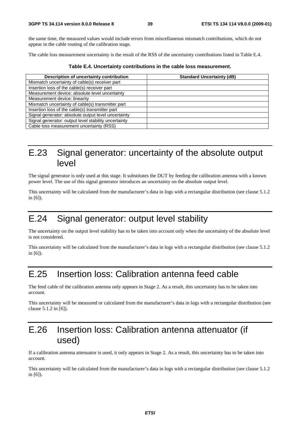the same time, the measured values would include errors from miscellaneous mismatch contributions, which do not appear in the cable routing of the calibration stage.

The cable loss measurement uncertainty is the result of the RSS of the uncertainty contributions listed in Table E.4.

|  |  | Table E.4. Uncertainty contributions in the cable loss measurement. |
|--|--|---------------------------------------------------------------------|
|--|--|---------------------------------------------------------------------|

| Description of uncertainty contribution              | <b>Standard Uncertainty (dB)</b> |
|------------------------------------------------------|----------------------------------|
| Mismatch uncertainty of cable(s) receiver part       |                                  |
| Insertion loss of the cable(s) receiver part         |                                  |
| Measurement device: absolute level uncertainty       |                                  |
| Measurement device: linearity                        |                                  |
| Mismatch uncertainty of cable(s) transmitter part    |                                  |
| Insertion loss of the cable(s) transmitter part      |                                  |
| Signal generator: absolute output level uncertainty  |                                  |
| Signal generator: output level stability uncertainty |                                  |
| Cable loss measurement uncertainty (RSS)             |                                  |

## E.23 Signal generator: uncertainty of the absolute output level

The signal generator is only used at this stage. It substitutes the DUT by feeding the calibration antenna with a known power level. The use of this signal generator introduces an uncertainty on the absolute output level.

This uncertainty will be calculated from the manufacturer's data in logs with a rectangular distribution (see clause 5.1.2 in [6]).

## E.24 Signal generator: output level stability

The uncertainty on the output level stability has to be taken into account only when the uncertainty of the absolute level is not considered.

This uncertainty will be calculated from the manufacturer's data in logs with a rectangular distribution (see clause 5.1.2 in [6]).

## E.25 Insertion loss: Calibration antenna feed cable

The feed cable of the calibration antenna only appears in Stage 2. As a result, this uncertainty has to be taken into account.

This uncertainty will be measured or calculated from the manufacturer's data in logs with a rectangular distribution (see clause 5.1.2 in [6]).

## E.26 Insertion loss: Calibration antenna attenuator (if used)

If a calibration antenna attenuator is used, it only appears in Stage 2. As a result, this uncertainty has to be taken into account.

This uncertainty will be calculated from the manufacturer's data in logs with a rectangular distribution (see clause 5.1.2 in [6]).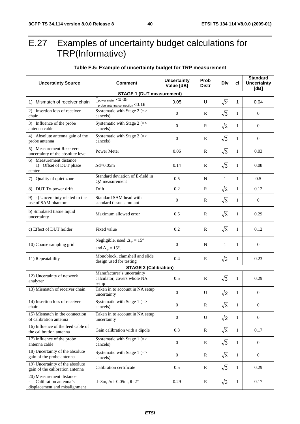## E.27 Examples of uncertainty budget calculations for TRP(Informative)

#### **Uncertainty Source Comment Letter and** *Meteor LIDI* **Value [dB] Prob**   $\begin{array}{c|c} \n\text{P} & \text{D} \\
\text{D} & \text{D} \\
\end{array}$  **Div**  $\begin{array}{c|c} \n\text{ci} \\
\end{array}$ **Standard Uncertainty [dB] STAGE 1 (DUT measurement)**  1) Mismatch of receiver chain <u>F<sub>rower meter</u> <0.05</u></sub> Probe antenna connection <0.16 0.05 U  $\sqrt{2}$  1 0.04<br>
Systematic with Stage 2 (=> 0 R  $\sqrt{3}$  1 0 2) Insertion loss of receiver chain Systematic with Stage 2 (=> cancels)  $\begin{bmatrix} 0 & 0 \\ 0 & 0 \end{bmatrix}$  R  $\begin{bmatrix} \sqrt{3} & 1 \\ 0 & 0 \end{bmatrix}$  0 3) Influence of the probe antenna cable Systematic with Stage 2 (=>  $\begin{array}{|c|c|c|c|c|c|c|c|c|} \hline \text{S} & \text{R} & \sqrt{3} & 1 & 0 \\ \text{cancels} & & 0 & \text{R} & \sqrt{3} & 1 \end{array}$ 4) Absolute antenna gain of the probe antenna Systematic with Stage 2  $($ cancels)  $\begin{bmatrix} 0 & 0 \\ 0 & 0 \end{bmatrix}$  R  $\begin{bmatrix} \sqrt{3} & 1 \\ 0 & 0 \end{bmatrix}$  0 5) Measurement Receiver: 3) Measurement Receiver:<br>uncertainty of the absolute level Power Meter 0.06 R  $\sqrt{3}$  1 0.03 Measurement distance a) Offset of DUT phase center  $\Delta$ d=0.05m 0.14 R  $\sqrt{3}$  1 0.08 7) Quality of quiet zone  $\begin{array}{c|c}\n\end{array}$  Standard deviation of E-field in Standard deviation of E-field in  $0.5$  N 1 1 0.5 8) DUT Tx-power drift Drift 0.2 R 3 1 0.12 9) a) Uncertainty related to the use of SAM phantom: Standard SAM head with Standard SAM nead WILD<br>standard tissue simulant  $0$  R  $\sqrt{3}$  1 0 b) Simulated tissue liquid  $\mu$  Maximum allowed error  $\mu$  0.5 R  $\sqrt{3}$  1 0.29 c) Effect of DUT holder Fixed value 0.2 R  $\sqrt{3}$  1 0.12 10) Coarse sampling grid Negligible, used  $\Delta_{\theta} = 15^{\circ}$ and  $\Delta_{\varphi} = 15^{\circ}$ .  $\begin{array}{|c|c|c|c|c|c|} \hline 0 & N & 1 & 1 & 0 \ \hline \end{array}$ 11) Repeatability Monoblock, clamshell and slide MONODIOCK, CIAMSHELL and SIDE  $\begin{bmatrix} 0.4 \\ 0.4 \end{bmatrix}$  R  $\begin{bmatrix} \sqrt{3} \\ 1 \end{bmatrix}$  0.23 **STAGE 2 (Calibration)**  12) Uncertainty of network analyzer Manufacturer's uncertainty calculator, covers whole NA setup 0.5 | R  $\sqrt{3}$  | 1 | 0.29 13) Mismatch of receiver chain Taken in to account in NA setup<br>uncertainty uncertainty 0 U  $\sqrt{2}$  1 0 14) Insertion loss of receiver chain Systematic with Stage  $1 (=$ cancels)  $\begin{bmatrix} 0 \\ 0 \\ 0 \end{bmatrix}$  R  $\begin{bmatrix} \sqrt{3} & 1 \\ 0 & 0 \end{bmatrix}$  0 15) Mismatch in the connection of calibration antenna Taken in to account in NA setup uncertainty  $0 \t U \t 2^2 \t 1 \t 0$ 16) Influence of the feed cable of the calibration antenna Gain calibration with a dipole 0.3 R 3 1 0.17 17) Influence of the probe antenna cable Systematic with Stage  $1 (=$ cancels) 0 R 3 1 0 18) Uncertainty of the absolute gain of the probe antenna Systematic with Stage  $1$  (=> cancels) cancels)  $\begin{bmatrix} 0 \\ 0 \\ 0 \end{bmatrix}$  R  $\begin{bmatrix} \sqrt{3} & 1 \\ 1 & 0 \\ 0 & 0 \end{bmatrix}$  0 19) Uncertainty of the absolute gain of the calibration antenna Calibration certificate 0.5 R 3 1 0.29 20) Measurement distance: Calibration antenna's displacement and misalignment d=3m,  $\Delta$ d=0.05m,  $\theta$ =2° 0.29 R  $\sqrt{3}$  1 0.17

#### **Table E.5: Example of uncertainty budget for TRP measurement**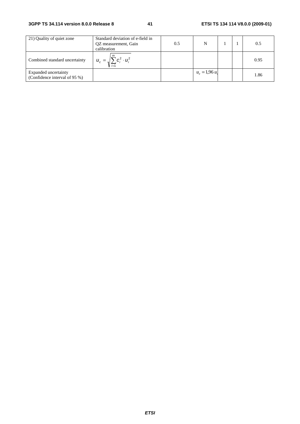#### **3GPP TS 34.114 version 8.0.0 Release 8 41 ETSI TS 134 114 V8.0.0 (2009-01)**

| 21) Quality of quiet zone                             | Standard deviation of e-field in<br>OZ measurement, Gain<br>calibration | 0.5 | N              |  | 0.5  |
|-------------------------------------------------------|-------------------------------------------------------------------------|-----|----------------|--|------|
| Combined standard uncertainty                         | $C_i^2 \cdot U_i^2$<br>$u_c = \sqrt{2}$                                 |     |                |  | 0.95 |
| Expanded uncertainty<br>(Confidence interval of 95 %) |                                                                         |     | $u_e = 1.96 u$ |  | 1.86 |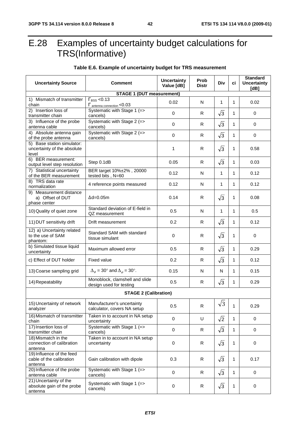antenna

## E.28 Examples of uncertainty budget calculations for TRS(Informative)

#### **Uncertainty Source Comment Comment 1996 Value [dB] Prob Prop** | Div | ci **Standard Uncertainty [dB] STAGE 1 (DUT measurement)**  1) Mismatch of transmitter chain  $\Gamma_{\rm BSS}$  <0.13 T BSS <0.13<br>  $\frac{\Gamma_{\text{ants}}}{\text{Mathema connection}}$  <0.03<br>
Systematic with Stage 1 (=><br>  $\frac{0.02}{0}$  R  $\sqrt{3}$  1 0 2) Insertion loss of transmitter chain Systematic with Stage 1 (=>  $\text{Cayson}$  ancels)  $\begin{vmatrix} 0 & 0 \\ 0 & 0 \end{vmatrix}$  R  $\begin{vmatrix} \sqrt{3} & 1 \\ 1 & 0 \end{vmatrix}$  0 3) Influence of the probe antenna cable Systematic with Stage 2 (=>  $\text{Cayson}$  and  $\text{Cayley}$   $\text{Cayley}$  and  $\text{Cayley}$  and  $\text{Cayley}$  and  $\text{Cayley}$  and  $\text{Cayley}$  and  $\text{Cayley}$  and  $\text{Cayley}$  and  $\text{Cayley}$  and  $\text{Cayley}$  and  $\text{Cayley}$  and  $\text{Cayley}$  and  $\text{Cayley}$  and  $\text{Cayley}$  are  $\text{Cayley}$  and 4) Absolute antenna gain of the probe antenna Systematic with Stage 2 (=>  $\text{Concrels)}$  0 R  $\sqrt{3}$  1 0 0 5) Base station simulator: uncertainty of the absolute level  $\begin{array}{|c|c|c|c|c|c|c|c|c|} \hline \end{array}$  1 | R |  $\sqrt{3}$  | 1 | 0.58 6) BER measurement: output level step resolution Step 0.1dB 0.05 R 3 1 0.03 7) Statistical uncertainty of the BER measurement BER target 10%±2% , 20000 BER target 10%±2%, 20000<br>tested bits , N=60 0.12 N 1 1 1 0.12 8) TRS data rate 4 reference points measured  $\begin{vmatrix} 0.12 \end{vmatrix}$  N  $\begin{vmatrix} 1 \end{vmatrix}$  1  $\begin{vmatrix} 1 \end{vmatrix}$  0.12 9) Measurement distance a) Offset of DUT phase center  $\Delta$ d=0.05m  $\begin{vmatrix} 0.14 & R & \sqrt{3} & 1 & 0.08 \end{vmatrix}$ 10) Quality of quiet zone  $\begin{bmatrix} \mathsf{S}\mathsf{t} \mathsf{c} \end{bmatrix}$  Standard deviation of E-field in Standard deviation of E-field in  $\begin{array}{|c|c|c|c|c|c|c|c|c|} \hline \text{OZ} & \text{N} & 1 & 1 & 0.5 \ \hline \text{QZ} & \text{measurement} & & & 0.5 & & \end{array}$ 11) DUT sensitivity drift Drift measurement 0.2 R 3 1 0.12 12) a) Uncertainty related to the use of SAM phantom: Standard SAM with standard Standard SAM with standard  $\begin{vmatrix} 0 & 0 \end{vmatrix}$  R  $\sqrt{3}$  1 0 b) Simulated tissue liquid b) Simulated tissue liquid<br>uncertainty Maximum allowed error  $\begin{vmatrix} 0.5 \\ 0.5 \end{vmatrix}$  R  $\sqrt{3}$  1 0.29 c) Effect of DUT holder Fixed value 0.2 R 3 1 0.12 13) Coarse sampling grid  $\Delta_{\theta} = 30^{\circ}$  and  $\Delta_{\phi} = 30^{\circ}$ .  $\Box$  0.15 N N 1 | 0.15 0.15 14) Repeatability Monoblock, clamshell and slide Monoblock, clamshell and slide<br>
design used for testing  $0.5$  R  $\sqrt{3}$  1 0.29 **STAGE 2 (Calibration)**  15) Uncertainty of network analyzer Manufacturer's uncertainty Manufacturer's uncertainty<br>
calculator, covers NA setup  $\begin{array}{|c|c|c|c|c|c|c|c|c|} \hline \text{R} & \sqrt{3} & 1 & 0.29 \end{array}$ 16) Mismatch of transmitter chain Taken in to account in NA setup  $\begin{vmatrix} 0 & 0 \end{vmatrix}$  o  $\sqrt{2}$  1 0 0 17) Insertion loss of transmitter chain Systematic with Stage 1 (=>  $\text{Concrels)}$  0 R  $\sqrt{3}$  1 0 0 18) Mismatch in the connection of calibration antenna Taken in to account in NA setup uncertainty  $\begin{vmatrix} 0 & 0 \\ 0 & 1 \end{vmatrix}$  R  $\begin{vmatrix} \sqrt{3} & 1 & 0 \\ 1 & 0 & 0 \end{vmatrix}$ 19) Influence of the feed cable of the calibration antenna Gain calibration with dipole  $\begin{vmatrix} 0.3 & 1 & 1 \end{vmatrix}$  R  $\begin{vmatrix} \sqrt{3} & 1 & 0.17 \end{vmatrix}$ 20) Influence of the probe antenna cable Systematic with Stage 1 (=> cancels)  $\text{Concrels)}$  0 R  $\sqrt{3}$  1 0 0 21) Uncertainty of the absolute gain of the probe Systematic with Stage 1 (=>  $\text{Concrels)}$  0 R  $\sqrt{3}$  1 0 0

#### **Table E.6. Example of uncertainty budget for TRS measurement**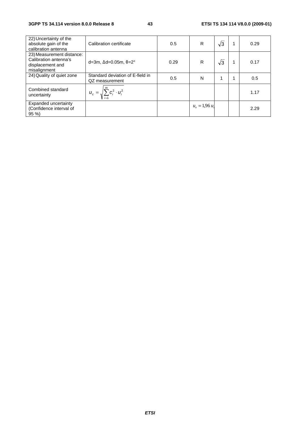| 22) Uncertainty of the<br>absolute gain of the<br>calibration antenna                  | Calibration certificate                            | 0.5  | R              | $\sqrt{3}$ | 0.29 |
|----------------------------------------------------------------------------------------|----------------------------------------------------|------|----------------|------------|------|
| 23) Measurement distance:<br>Calibration antenna's<br>displacement and<br>misalignment | d=3m, $\Delta$ d=0.05m, $\theta$ =2°               | 0.29 | R              | $\sqrt{3}$ | 0.17 |
| 24) Quality of quiet zone                                                              | Standard deviation of E-field in<br>QZ measurement | 0.5  | N              | 1          | 0.5  |
| Combined standard<br>uncertainty                                                       | $u_c = \sqrt{\sum_{i=1}^{m} c_i^2 \cdot u_i^2}$    |      |                |            | 1.17 |
| Expanded uncertainty<br>(Confidence interval of<br>$95\%$                              |                                                    |      | $u_e = 1,96 u$ |            | 2.29 |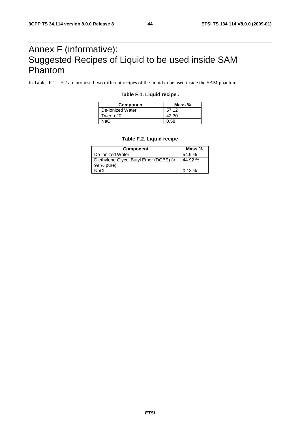## Annex F (informative): Suggested Recipes of Liquid to be used inside SAM Phantom

In Tables F.1 – F.2 are proposed two different recipes of the liquid to be used inside the SAM phantom.

### **Table F.1. Liquid recipe .**

| <b>Component</b> | Mass $%$ |
|------------------|----------|
| De-ionized Water | 57.12    |
| Tween 20         | 42.30    |
| NaCl             | 0.58     |

#### **Table F.2. Liquid recipe**

| <b>Component</b>                        | Mass $%$ |
|-----------------------------------------|----------|
| De-ionized Water                        | 54.9%    |
| Diethylene Glycol Butyl Ether (DGBE) (> | 44.92 %  |
| 99 % pure)                              |          |
| NaCl                                    | 0.18%    |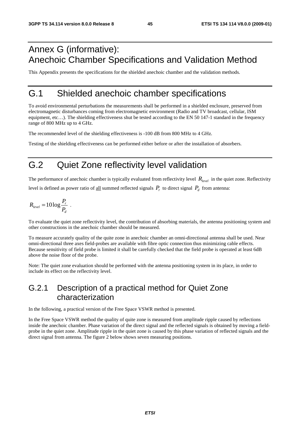## Annex G (informative): Anechoic Chamber Specifications and Validation Method

This Appendix presents the specifications for the shielded anechoic chamber and the validation methods.

### G.1 Shielded anechoic chamber specifications

To avoid environmental perturbations the measurements shall be performed in a shielded enclosure, preserved from electromagnetic disturbances coming from electromagnetic environment (Radio and TV broadcast, cellular, ISM equipment, etc...). The shielding effectiveness shut be tested according to the EN 50 147-1 standard in the frequency range of 800 MHz up to 4 GHz.

The recommended level of the shielding effectiveness is -100 dB from 800 MHz to 4 GHz.

Testing of the shielding effectiveness can be performed either before or after the installation of absorbers.

## G.2 Quiet Zone reflectivity level validation

The performance of anechoic chamber is typically evaluated from reflectivity level  $R_{level}$  in the quiet zone. Reflectivity level is defined as power ratio of <u>all</u> summed reflected signals  $P_r$  to direct signal  $P_d$  from antenna:

$$
R_{level} = 10 \log \frac{P_r}{P_d} \ .
$$

To evaluate the quiet zone reflectivity level, the contribution of absorbing materials, the antenna positioning system and other constructions in the anechoic chamber should be measured.

To measure accurately quality of the quite zone in anechoic chamber an omni-directional antenna shall be used. Near omni-directional three axes field-probes are available with fibre optic connection thus minimizing cable effects. Because sensitivity of field probe is limited it shall be carefully checked that the field probe is operated at least 6dB above the noise floor of the probe.

Note: The quiet zone evaluation should be performed with the antenna positioning system in its place, in order to include its effect on the reflectivity level.

### G.2.1 Description of a practical method for Quiet Zone characterization

In the following, a practical version of the Free Space VSWR method is presented.

In the Free Space VSWR method the quality of quite zone is measured from amplitude ripple caused by reflections inside the anechoic chamber. Phase variation of the direct signal and the reflected signals is obtained by moving a fieldprobe in the quiet zone. Amplitude ripple in the quiet zone is caused by this phase variation of reflected signals and the direct signal from antenna. The figure 2 below shows seven measuring positions.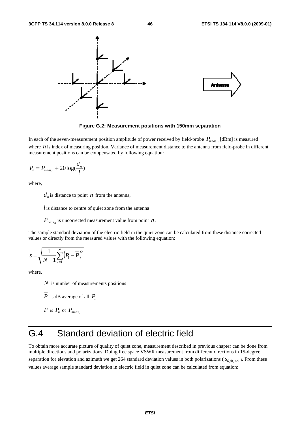

**Figure G.2: Measurement positions with 150mm separation** 

In each of the seven-measurement position amplitude of power received by field-probe  $P_{measn}$  [dBm] is measured where  $n$  is index of measuring position. Variance of measurement distance to the antenna from field-probe in different measurement positions can be compensated by following equation:

$$
P_n = P_{meas_n} + 20\log(\frac{d_n}{l})
$$

where,

 $d_n$  is distance to point *n* from the antenna,

*l* is distance to centre of quiet zone from the antenna

 $P_{meas<sub>n</sub>}$  is uncorrected measurement value from point *n*.

The sample standard deviation of the electric field in the quiet zone can be calculated from these distance corrected values or directly from the measured values with the following equation:

$$
s = \sqrt{\frac{1}{N-1} \sum_{i=1}^{N} \left( P_i - \overline{P} \right)^2}
$$

where,

*N* is number of measurements positions

 $\overline{P}$  is dB average of all  $P_n$ 

$$
P_i \text{ is } P_n \text{ or } P_{\text{meas}_n}
$$

## G.4 Standard deviation of electric field

To obtain more accurate picture of quality of quiet zone, measurement described in previous chapter can be done from multiple directions and polarizations. Doing free space VSWR measurement from different directions in 15-degree separation for elevation and azimuth we get 264 standard deviation values in both polarizations ( $s_{\theta, \Phi, pol}$ ). From these values average sample standard deviation in electric field in quiet zone can be calculated from equation: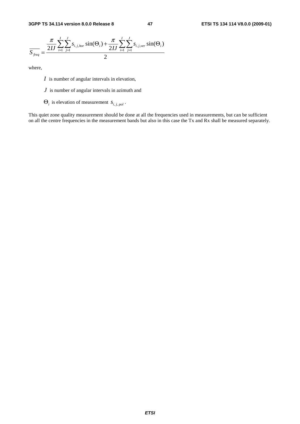

where,

- *I* is number of angular intervals in elevation,
- *J* is number of angular intervals in azimuth and
- $\Theta_i$  is elevation of measurement  $S_{i,j,pol}$ .

This quiet zone quality measurement should be done at all the frequencies used in measurements, but can be sufficient on all the centre frequencies in the measurement bands but also in this case the Tx and Rx shall be measured separately.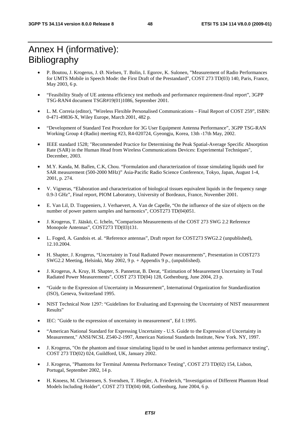## Annex H (informative): **Bibliography**

- P. Boutou, J. Krogerus, J. Ø. Nielsen, T. Bolin, I. Egorov, K. Sulonen, "Measurement of Radio Performances for UMTS Mobile in Speech Mode: the First Draft of the Prestandard", COST 273 TD(03) 140, Paris, France, May 2003, 6 p.
- "Feasibility Study of UE antenna efficiency test methods and performance requirement-final report", 3GPP TSG-RAN4 document TSGR#19(01)1086, September 2001.
- L. M. Correia (editor), "Wireless Flexible Personalised Communications Final Report of COST 259", ISBN: 0-471-49836-X, Wiley Europe, March 2001, 482 p.
- "Development of Standard Test Procedure for 3G User Equipment Antenna Performance", 3GPP TSG-RAN Working Group 4 (Radio) meeting #23, R4-020724, Gyeongju, Korea, 13th -17th May, 2002.
- IEEE standard 1528; "Recommended Practice for Determining the Peak Spatial-Average Specific Absorption Rate (SAR) in the Human Head from Wireless Communications Devices: Experimental Techniques", December, 2003.
- M.Y. Kanda, M. Ballen, C.K, Chou. "Formulation and characterization of tissue simulating liquids used for SAR measurement (500-2000 MHz)" Asia-Pacific Radio Science Conference, Tokyo, Japan, August 1-4, 2001, p. 274.
- V. Vigneras, "Elaboration and characterization of biological tissues equivalent liquids in the frequency range 0.9-3 GHz", Final report, PIOM Laboratory, University of Bordeaux, France, November 2001.
- E. Van Lil, D. Trappeniers, J. Verhaevert, A. Van de Capelle, "On the influence of the size of objects on the number of power pattern samples and harmonics", COST273 TD(04)051.
- J. Krogerus, T. Jääskö, C. Icheln, "Comparison Measurements of the COST 273 SWG 2.2 Reference Monopole Antennas", COST273 TD(03)131.
- L. Foged, A. Gandois et. al. "Reference antennas", Draft report for COST273 SWG2.2 (unpublished), 12.10.2004.
- H. Shapter, J. Krogerus, "Uncertainty in Total Radiated Power measurements", Presentation in COST273 SWG2.2 Meeting, Helsinki, May 2002, 9 p. + Appendix 9 p., (unpublished).
- J. Krogerus, A. Kruy, H. Shapter, S. Pannetrat, B. Derat, "Estimation of Measurement Uncertainty in Total Radiated Power Measurements", COST 273 TD(04) 128, Gothenburg, June 2004, 23 p.
- "Guide to the Expression of Uncertainty in Measurement", International Organization for Standardization (ISO), Geneva, Switzerland 1995.
- NIST Technical Note 1297: "Guidelines for Evaluating and Expressing the Uncertainty of NIST measurement Results"
- IEC: "Guide to the expression of uncertainty in measurement", Ed 1:1995.
- "American National Standard for Expressing Uncertainty U.S. Guide to the Expression of Uncertainty in Measurement," ANSI/NCSL Z540-2-1997, American National Standards Institute, New York. NY, 1997.
- J. Krogerus, "On the phantom and tissue simulating liquid to be used in handset antenna performance testing", COST 273 TD(02) 024, Guildford, UK, January 2002.
- J. Krogerus, "Phantoms for Terminal Antenna Performance Testing", COST 273 TD(02) 154, Lisbon, Portugal, September 2002, 14 p.
- H. Knoess, M. Christensen, S. Svendsen, T. Hiegler, A. Friederich, "Investigation of Different Phantom Head Models Including Holder", COST 273 TD(04) 068, Gothenburg, June 2004, 6 p.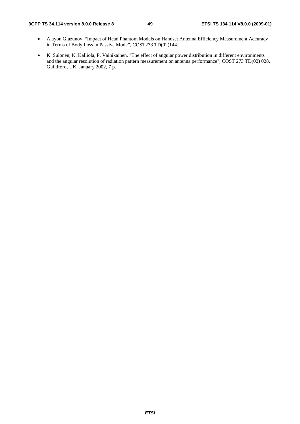#### **3GPP TS 34.114 version 8.0.0 Release 8 49 ETSI TS 134 114 V8.0.0 (2009-01)**

- Alayon Glazunov, "Impact of Head Phantom Models on Handset Antenna Efficiency Measurement Accuracy in Terms of Body Loss in Passive Mode", COST273 TD(02)144.
- K. Sulonen, K. Kalliola, P. Vainikainen, "The effect of angular power distribution in different environments and the angular resolution of radiation pattern measurement on antenna performance", COST 273 TD(02) 028, Guildford, UK, January 2002, 7 p.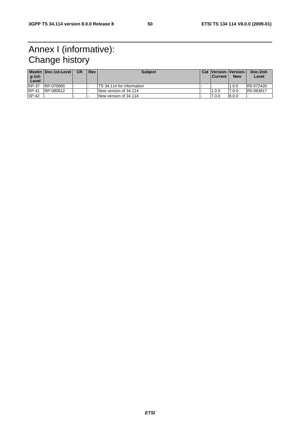## Annex I (informative): Change history

| $q-1$ st-<br>Level | Meetin Doc-1st-Level | <b>CR</b> | <b>Rev</b> | <b>Subject</b>                   | <b>Current</b> | <b>Cat Version-Version-I</b><br><b>New</b> | Doc-2nd-<br>Level |
|--------------------|----------------------|-----------|------------|----------------------------------|----------------|--------------------------------------------|-------------------|
| <b>RP-37</b>       | RP-070665            |           |            | <b>TS</b> 34.114 for information |                | 1.0.0                                      | R5-072420         |
| <b>RP-41</b>       | RP-080612            |           |            | New version of 34.114            | 1.0.0          | 7.0.0                                      | R5-083817         |
| <b>SP-42</b>       |                      |           |            | INew version of 34.114           | 7.0.0          | 8.0.0                                      |                   |